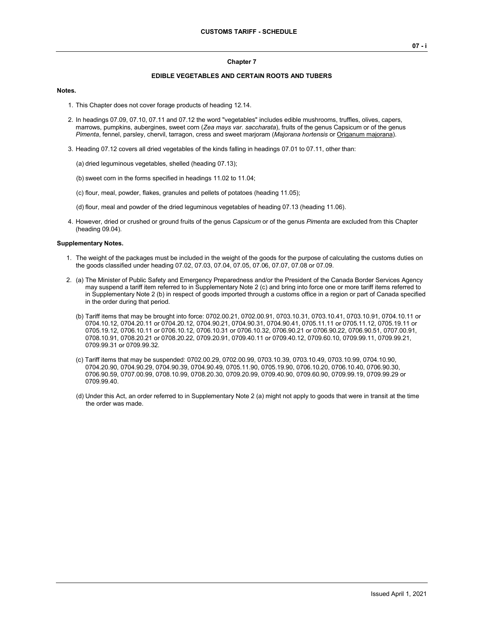#### **EDIBLE VEGETABLES AND CERTAIN ROOTS AND TUBERS**

#### **Notes.**

- 1. This Chapter does not cover forage products of heading 12.14.
- 2. In headings 07.09, 07.10, 07.11 and 07.12 the word "vegetables" includes edible mushrooms, truffles, olives, capers, marrows, pumpkins, aubergines, sweet corn (*Zea mays var. saccharata*), fruits of the genus Capsicum or of the genus *Pimenta*, fennel, parsley, chervil, tarragon, cress and sweet marjoram (*Majorana hortensis* or Origanum majorana).
- 3. Heading 07.12 covers all dried vegetables of the kinds falling in headings 07.01 to 07.11, other than:
	- (a) dried leguminous vegetables, shelled (heading 07.13);
	- (b) sweet corn in the forms specified in headings 11.02 to 11.04;
	- (c) flour, meal, powder, flakes, granules and pellets of potatoes (heading 11.05);
	- (d) flour, meal and powder of the dried leguminous vegetables of heading 07.13 (heading 11.06).
- 4. However, dried or crushed or ground fruits of the genus *Capsicum* or of the genus *Pimenta* are excluded from this Chapter (heading 09.04).

#### **Supplementary Notes.**

- 1. The weight of the packages must be included in the weight of the goods for the purpose of calculating the customs duties on the goods classified under heading 07.02, 07.03, 07.04, 07.05, 07.06, 07.07, 07.08 or 07.09.
- 2. (a) The Minister of Public Safety and Emergency Preparedness and/or the President of the Canada Border Services Agency may suspend a tariff item referred to in Supplementary Note 2 (c) and bring into force one or more tariff items referred to in Supplementary Note 2 (b) in respect of goods imported through a customs office in a region or part of Canada specified in the order during that period.
	- (b) Tariff items that may be brought into force: 0702.00.21, 0702.00.91, 0703.10.31, 0703.10.41, 0703.10.91, 0704.10.11 or 0704.10.12, 0704.20.11 or 0704.20.12, 0704.90.21, 0704.90.31, 0704.90.41, 0705.11.11 or 0705.11.12, 0705.19.11 or 0705.19.12, 0706.10.11 or 0706.10.12, 0706.10.31 or 0706.10.32, 0706.90.21 or 0706.90.22, 0706.90.51, 0707.00.91, 0708.10.91, 0708.20.21 or 0708.20.22, 0709.20.91, 0709.40.11 or 0709.40.12, 0709.60.10, 0709.99.11, 0709.99.21, 0709.99.31 or 0709.99.32.
	- (c) Tariff items that may be suspended: 0702.00.29, 0702.00.99, 0703.10.39, 0703.10.49, 0703.10.99, 0704.10.90, 0704.20.90, 0704.90.29, 0704.90.39, 0704.90.49, 0705.11.90, 0705.19.90, 0706.10.20, 0706.10.40, 0706.90.30, 0706.90.59, 0707.00.99, 0708.10.99, 0708.20.30, 0709.20.99, 0709.40.90, 0709.60.90, 0709.99.19, 0709.99.29 or 0709.99.40.
	- (d) Under this Act, an order referred to in Supplementary Note 2 (a) might not apply to goods that were in transit at the time the order was made.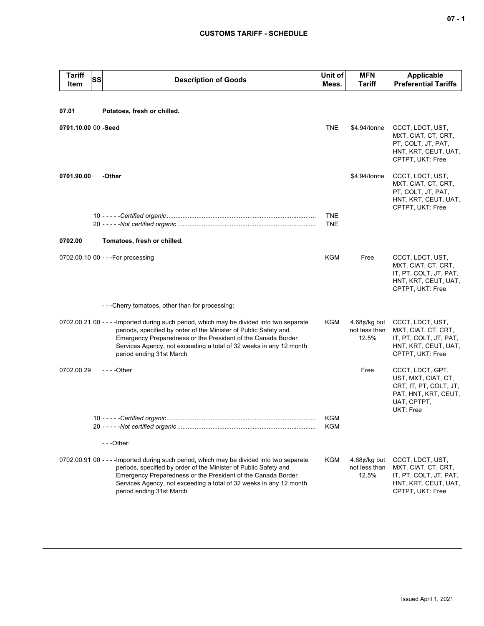| <b>Tariff</b><br>Item | SS | <b>Description of Goods</b>                                                                                                                                                                                                                                                                                                     | Unit of<br>Meas.         | <b>MFN</b><br><b>Tariff</b>                      | <b>Applicable</b><br><b>Preferential Tariffs</b>                                                                      |
|-----------------------|----|---------------------------------------------------------------------------------------------------------------------------------------------------------------------------------------------------------------------------------------------------------------------------------------------------------------------------------|--------------------------|--------------------------------------------------|-----------------------------------------------------------------------------------------------------------------------|
|                       |    |                                                                                                                                                                                                                                                                                                                                 |                          |                                                  |                                                                                                                       |
| 07.01                 |    | Potatoes, fresh or chilled.                                                                                                                                                                                                                                                                                                     |                          |                                                  |                                                                                                                       |
| 0701.10.00 00 -Seed   |    |                                                                                                                                                                                                                                                                                                                                 | <b>TNE</b>               | \$4.94/tonne                                     | CCCT, LDCT, UST,<br>MXT, CIAT, CT, CRT,<br>PT, COLT, JT, PAT,<br>HNT, KRT, CEUT, UAT,<br>CPTPT, UKT: Free             |
| 0701.90.00            |    | -Other                                                                                                                                                                                                                                                                                                                          |                          | \$4.94/tonne                                     | CCCT, LDCT, UST,<br>MXT, CIAT, CT, CRT,<br>PT, COLT, JT, PAT,<br>HNT, KRT, CEUT, UAT,<br>CPTPT, UKT: Free             |
|                       |    |                                                                                                                                                                                                                                                                                                                                 | <b>TNE</b><br><b>TNE</b> |                                                  |                                                                                                                       |
| 0702.00               |    | Tomatoes, fresh or chilled.                                                                                                                                                                                                                                                                                                     |                          |                                                  |                                                                                                                       |
|                       |    | 0702.00.10 00 - - - For processing                                                                                                                                                                                                                                                                                              | KGM                      | Free                                             | CCCT, LDCT, UST,<br>MXT, CIAT, CT, CRT,<br>IT, PT, COLT, JT, PAT,<br>HNT, KRT, CEUT, UAT,<br>CPTPT, UKT: Free         |
|                       |    | ---Cherry tomatoes, other than for processing:                                                                                                                                                                                                                                                                                  |                          |                                                  |                                                                                                                       |
|                       |    | 0702.00.21 00 - - - - Imported during such period, which may be divided into two separate<br>periods, specified by order of the Minister of Public Safety and<br>Emergency Preparedness or the President of the Canada Border<br>Services Agency, not exceeding a total of 32 weeks in any 12 month<br>period ending 31st March | KGM                      | 4.68 $\not\in$ /kg but<br>not less than<br>12.5% | CCCT, LDCT, UST,<br>MXT, CIAT, CT, CRT,<br>IT, PT, COLT, JT, PAT,<br>HNT, KRT, CEUT, UAT,<br>CPTPT, UKT: Free         |
| 0702.00.29            |    | $--$ Other                                                                                                                                                                                                                                                                                                                      |                          | Free                                             | CCCT, LDCT, GPT,<br>UST, MXT, CIAT, CT,<br>CRT, IT, PT, COLT, JT,<br>PAT, HNT, KRT, CEUT,<br>UAT, CPTPT,<br>UKT: Free |
|                       |    |                                                                                                                                                                                                                                                                                                                                 | <b>KGM</b><br>KGM        |                                                  |                                                                                                                       |
|                       |    | $- -$ Other:                                                                                                                                                                                                                                                                                                                    |                          |                                                  |                                                                                                                       |
|                       |    | 0702.00.91 00 - - - - Imported during such period, which may be divided into two separate<br>periods, specified by order of the Minister of Public Safety and<br>Emergency Preparedness or the President of the Canada Border<br>Services Agency, not exceeding a total of 32 weeks in any 12 month<br>period ending 31st March | KGM                      | 4.68 $\not\in$ /kg but<br>not less than<br>12.5% | CCCT, LDCT, UST,<br>MXT, CIAT, CT, CRT,<br>IT, PT, COLT, JT, PAT,<br>HNT, KRT, CEUT, UAT,<br>CPTPT, UKT: Free         |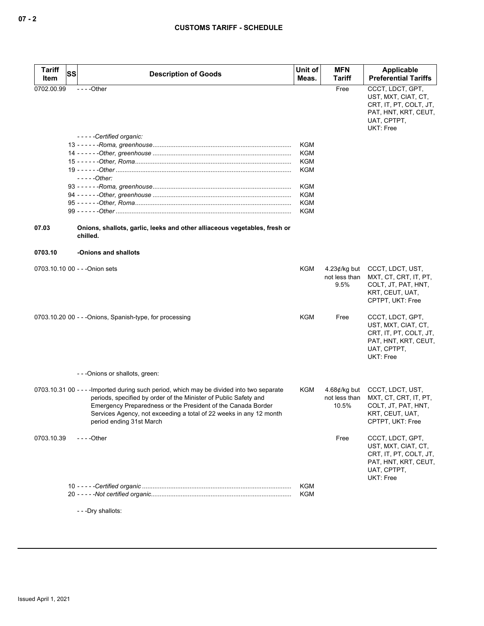| Tariff<br>Item | <b>SS</b> | <b>Description of Goods</b>                                                                                                                                                                                                                                                                                                     | Unit of<br>Meas.  | <b>MFN</b><br>Tariff                     | Applicable<br><b>Preferential Tariffs</b>                                                                             |
|----------------|-----------|---------------------------------------------------------------------------------------------------------------------------------------------------------------------------------------------------------------------------------------------------------------------------------------------------------------------------------|-------------------|------------------------------------------|-----------------------------------------------------------------------------------------------------------------------|
| 0702.00.99     |           | $--$ Other                                                                                                                                                                                                                                                                                                                      |                   | Free                                     | CCCT. LDCT. GPT.                                                                                                      |
|                |           |                                                                                                                                                                                                                                                                                                                                 |                   |                                          | UST, MXT, CIAT, CT,<br>CRT, IT, PT, COLT, JT,<br>PAT, HNT, KRT, CEUT,<br>UAT, CPTPT,<br>UKT: Free                     |
|                |           | -----Certified organic:                                                                                                                                                                                                                                                                                                         |                   |                                          |                                                                                                                       |
|                |           |                                                                                                                                                                                                                                                                                                                                 | KGM               |                                          |                                                                                                                       |
|                |           |                                                                                                                                                                                                                                                                                                                                 | KGM               |                                          |                                                                                                                       |
|                |           |                                                                                                                                                                                                                                                                                                                                 | <b>KGM</b><br>KGM |                                          |                                                                                                                       |
|                |           | $---Other:$                                                                                                                                                                                                                                                                                                                     |                   |                                          |                                                                                                                       |
|                |           |                                                                                                                                                                                                                                                                                                                                 | KGM               |                                          |                                                                                                                       |
|                |           |                                                                                                                                                                                                                                                                                                                                 | <b>KGM</b>        |                                          |                                                                                                                       |
|                |           |                                                                                                                                                                                                                                                                                                                                 | <b>KGM</b>        |                                          |                                                                                                                       |
|                |           |                                                                                                                                                                                                                                                                                                                                 | KGM               |                                          |                                                                                                                       |
|                |           |                                                                                                                                                                                                                                                                                                                                 |                   |                                          |                                                                                                                       |
| 07.03          |           | Onions, shallots, garlic, leeks and other alliaceous vegetables, fresh or<br>chilled.                                                                                                                                                                                                                                           |                   |                                          |                                                                                                                       |
| 0703.10        |           | -Onions and shallots                                                                                                                                                                                                                                                                                                            |                   |                                          |                                                                                                                       |
|                |           | 0703.10.10 00 - - - Onion sets                                                                                                                                                                                                                                                                                                  | KGM               | $4.23$ ¢/kg but<br>not less than<br>9.5% | CCCT, LDCT, UST,<br>MXT, CT, CRT, IT, PT,<br>COLT, JT, PAT, HNT,<br>KRT, CEUT, UAT,<br>CPTPT, UKT: Free               |
|                |           | 0703.10.20 00 - - - Onions, Spanish-type, for processing                                                                                                                                                                                                                                                                        | KGM               | Free                                     | CCCT, LDCT, GPT,<br>UST, MXT, CIAT, CT,<br>CRT, IT, PT, COLT, JT,<br>PAT, HNT, KRT, CEUT,<br>UAT, CPTPT,<br>UKT: Free |
|                |           | - - - Onions or shallots, green:                                                                                                                                                                                                                                                                                                |                   |                                          |                                                                                                                       |
|                |           | 0703.10.31 00 - - - - Imported during such period, which may be divided into two separate<br>periods, specified by order of the Minister of Public Safety and<br>Emergency Preparedness or the President of the Canada Border<br>Services Agency, not exceeding a total of 22 weeks in any 12 month<br>period ending 31st March | KGM               | 4.68¢/kg but<br>not less than<br>10.5%   | CCCT, LDCT, UST,<br>MXT, CT, CRT, IT, PT,<br>COLT, JT, PAT, HNT,<br>KRT, CEUT, UAT,<br>CPTPT, UKT: Free               |
| 0703.10.39     |           | $--$ - Other                                                                                                                                                                                                                                                                                                                    |                   | Free                                     | CCCT, LDCT, GPT,<br>UST, MXT, CIAT, CT,<br>CRT, IT, PT, COLT, JT,<br>PAT, HNT, KRT, CEUT,<br>UAT, CPTPT,<br>UKT: Free |
|                |           |                                                                                                                                                                                                                                                                                                                                 | KGM               |                                          |                                                                                                                       |
|                |           |                                                                                                                                                                                                                                                                                                                                 | KGM               |                                          |                                                                                                                       |

- - -Dry shallots: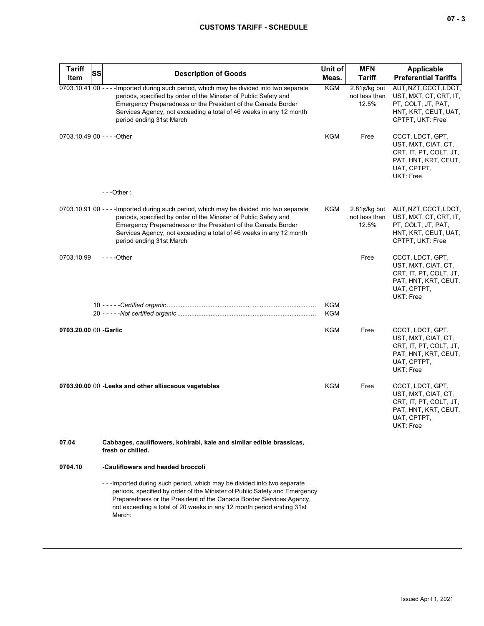| <b>Tariff</b><br>Item       | SS | <b>Description of Goods</b>                                                                                                                                                                                                                                                                                                     | Unit of<br>Meas. | <b>MFN</b><br><b>Tariff</b>                      | Applicable<br><b>Preferential Tariffs</b>                                                                             |
|-----------------------------|----|---------------------------------------------------------------------------------------------------------------------------------------------------------------------------------------------------------------------------------------------------------------------------------------------------------------------------------|------------------|--------------------------------------------------|-----------------------------------------------------------------------------------------------------------------------|
|                             |    | 0703.10.41 00 - - - - Imported during such period, which may be divided into two separate<br>periods, specified by order of the Minister of Public Safety and<br>Emergency Preparedness or the President of the Canada Border<br>Services Agency, not exceeding a total of 46 weeks in any 12 month<br>period ending 31st March | <b>KGM</b>       | 2.81 $\not\in$ /kg but<br>not less than<br>12.5% | AUT, NZT, CCCT, LDCT,<br>UST, MXT, CT, CRT, IT,<br>PT, COLT, JT, PAT,<br>HNT, KRT, CEUT, UAT,<br>CPTPT, UKT: Free     |
| 0703.10.49 00 - - - - Other |    |                                                                                                                                                                                                                                                                                                                                 | KGM              | Free                                             | CCCT, LDCT, GPT,<br>UST, MXT, CIAT, CT,<br>CRT, IT, PT, COLT, JT,<br>PAT, HNT, KRT, CEUT,<br>UAT, CPTPT,<br>UKT: Free |
|                             |    | $--$ Other:                                                                                                                                                                                                                                                                                                                     |                  |                                                  |                                                                                                                       |
|                             |    | 0703.10.91 00 - - - - Imported during such period, which may be divided into two separate<br>periods, specified by order of the Minister of Public Safety and<br>Emergency Preparedness or the President of the Canada Border<br>Services Agency, not exceeding a total of 46 weeks in any 12 month<br>period ending 31st March | KGM              | $2.81$ ¢/kg but<br>not less than<br>12.5%        | AUT, NZT, CCCT, LDCT,<br>UST, MXT, CT, CRT, IT,<br>PT, COLT, JT, PAT,<br>HNT, KRT, CEUT, UAT,<br>CPTPT, UKT: Free     |
| 0703.10.99                  |    | - - - - Other                                                                                                                                                                                                                                                                                                                   |                  | Free                                             | CCCT, LDCT, GPT,<br>UST, MXT, CIAT, CT,<br>CRT, IT, PT, COLT, JT,<br>PAT, HNT, KRT, CEUT,<br>UAT, CPTPT,<br>UKT: Free |
|                             |    |                                                                                                                                                                                                                                                                                                                                 | KGM              |                                                  |                                                                                                                       |
|                             |    |                                                                                                                                                                                                                                                                                                                                 | KGM              |                                                  |                                                                                                                       |
| 0703.20.00 00 -Garlic       |    |                                                                                                                                                                                                                                                                                                                                 | KGM              | Free                                             | CCCT, LDCT, GPT,<br>UST, MXT, CIAT, CT,<br>CRT, IT, PT, COLT, JT,<br>PAT, HNT, KRT, CEUT,<br>UAT, CPTPT,<br>UKT: Free |
|                             |    | 0703.90.00 00 - Leeks and other alliaceous vegetables                                                                                                                                                                                                                                                                           | KGM              | Free                                             | CCCT, LDCT, GPT,<br>UST, MXT, CIAT, CT,<br>CRT, IT, PT, COLT, JT,<br>PAT, HNT, KRT, CEUT,<br>UAT, CPTPT,<br>UKT: Free |
| 07.04                       |    | Cabbages, cauliflowers, kohlrabi, kale and similar edible brassicas,<br>fresh or chilled.                                                                                                                                                                                                                                       |                  |                                                  |                                                                                                                       |
| 0704.10                     |    | -Cauliflowers and headed broccoli                                                                                                                                                                                                                                                                                               |                  |                                                  |                                                                                                                       |
|                             |    | --Imported during such period, which may be divided into two separate<br>periods, specified by order of the Minister of Public Safety and Emergency<br>Preparedness or the President of the Canada Border Services Agency,<br>not exceeding a total of 20 weeks in any 12 month period ending 31st<br>March:                    |                  |                                                  |                                                                                                                       |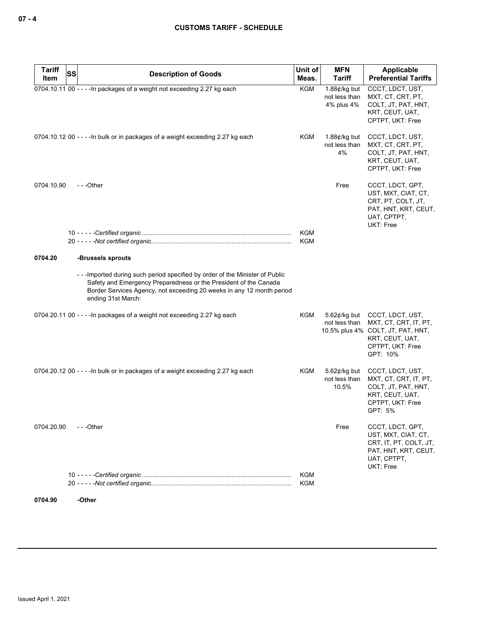| <b>Tariff</b> | <b>SS</b><br><b>Description of Goods</b>                                                                                                                                                                                                      | Unit of                  | <b>MFN</b>                                            | Applicable                                                                                                                        |
|---------------|-----------------------------------------------------------------------------------------------------------------------------------------------------------------------------------------------------------------------------------------------|--------------------------|-------------------------------------------------------|-----------------------------------------------------------------------------------------------------------------------------------|
| Item          |                                                                                                                                                                                                                                               | Meas.                    | <b>Tariff</b>                                         | <b>Preferential Tariffs</b>                                                                                                       |
|               | 0704.10.11 00 - - - - In packages of a weight not exceeding 2.27 kg each                                                                                                                                                                      | <b>KGM</b>               | 1.88 $\not\in$ /kg but<br>not less than<br>4% plus 4% | CCCT, LDCT, UST,<br>MXT, CT, CRT, PT,<br>COLT, JT, PAT, HNT,<br>KRT, CEUT, UAT,<br>CPTPT, UKT: Free                               |
|               | 0704.10.12 00 - - - - In bulk or in packages of a weight exceeding 2.27 kg each                                                                                                                                                               | KGM                      | 1.88 $\not\in$ /kg but<br>not less than<br>4%         | CCCT, LDCT, UST,<br>MXT, CT, CRT, PT,<br>COLT, JT, PAT, HNT,<br>KRT, CEUT, UAT,<br>CPTPT, UKT: Free                               |
| 0704.10.90    | ---Other                                                                                                                                                                                                                                      | <b>KGM</b><br><b>KGM</b> | Free                                                  | CCCT, LDCT, GPT,<br>UST, MXT, CIAT, CT,<br>CRT, PT, COLT, JT,<br>PAT, HNT, KRT, CEUT,<br>UAT, CPTPT,<br>UKT: Free                 |
| 0704.20       | -Brussels sprouts                                                                                                                                                                                                                             |                          |                                                       |                                                                                                                                   |
|               | --Imported during such period specified by order of the Minister of Public<br>Safety and Emergency Preparedness or the President of the Canada<br>Border Services Agency, not exceeding 20 weeks in any 12 month period<br>ending 31st March: |                          |                                                       |                                                                                                                                   |
|               | 0704.20.11 00 - - - - In packages of a weight not exceeding 2.27 kg each                                                                                                                                                                      | KGM                      | 5.62 $\not\in$ /kg but<br>not less than               | CCCT, LDCT, UST,<br>MXT, CT, CRT, IT, PT,<br>10.5% plus 4% COLT, JT, PAT, HNT,<br>KRT, CEUT, UAT,<br>CPTPT, UKT: Free<br>GPT: 10% |
|               | 0704.20.12 00 - - - - In bulk or in packages of a weight exceeding 2.27 kg each                                                                                                                                                               | KGM                      | 5.62 $\not\in$ /kg but<br>not less than<br>10.5%      | CCCT, LDCT, UST,<br>MXT, CT, CRT, IT, PT,<br>COLT, JT, PAT, HNT,<br>KRT, CEUT, UAT,<br>CPTPT, UKT: Free<br>GPT: 5%                |
| 0704.20.90    | - - -Other                                                                                                                                                                                                                                    |                          | Free                                                  | CCCT, LDCT, GPT,<br>UST, MXT, CIAT, CT,<br>CRT, IT, PT, COLT, JT,<br>PAT, HNT, KRT, CEUT,<br>UAT, CPTPT,<br>UKT: Free             |
|               |                                                                                                                                                                                                                                               | KGM<br>KGM               |                                                       |                                                                                                                                   |
| 0704.90       | -Other                                                                                                                                                                                                                                        |                          |                                                       |                                                                                                                                   |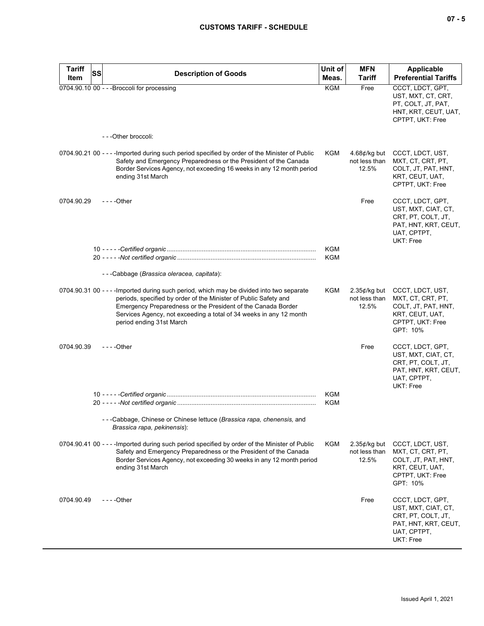| <b>Tariff</b><br><b>SS</b> | <b>Description of Goods</b>                                                                                                                                                                                                                                                                                                     | Unit of                  | <b>MFN</b>                                       | Applicable                                                                                                        |
|----------------------------|---------------------------------------------------------------------------------------------------------------------------------------------------------------------------------------------------------------------------------------------------------------------------------------------------------------------------------|--------------------------|--------------------------------------------------|-------------------------------------------------------------------------------------------------------------------|
| Item                       |                                                                                                                                                                                                                                                                                                                                 | Meas.                    | <b>Tariff</b>                                    | <b>Preferential Tariffs</b>                                                                                       |
|                            | 0704.90.10 00 - - - Broccoli for processing                                                                                                                                                                                                                                                                                     | <b>KGM</b>               | Free                                             | CCCT, LDCT, GPT,<br>UST, MXT, CT, CRT,<br>PT, COLT, JT, PAT,<br>HNT, KRT, CEUT, UAT,<br>CPTPT, UKT: Free          |
|                            | - - - Other broccoli:                                                                                                                                                                                                                                                                                                           |                          |                                                  |                                                                                                                   |
|                            | 0704.90.21 00 - - - - Imported during such period specified by order of the Minister of Public<br>Safety and Emergency Preparedness or the President of the Canada<br>Border Services Agency, not exceeding 16 weeks in any 12 month period<br>ending 31st March                                                                | KGM                      | 4.68 $\not\in$ /kg but<br>not less than<br>12.5% | CCCT, LDCT, UST,<br>MXT, CT, CRT, PT,<br>COLT, JT, PAT, HNT,<br>KRT, CEUT, UAT,<br>CPTPT, UKT: Free               |
| 0704.90.29                 |                                                                                                                                                                                                                                                                                                                                 |                          | Free                                             | CCCT, LDCT, GPT,<br>UST, MXT, CIAT, CT,<br>CRT, PT, COLT, JT,<br>PAT, HNT, KRT, CEUT,<br>UAT, CPTPT,<br>UKT: Free |
|                            |                                                                                                                                                                                                                                                                                                                                 | <b>KGM</b><br><b>KGM</b> |                                                  |                                                                                                                   |
|                            | ---Cabbage (Brassica oleracea, capitata):                                                                                                                                                                                                                                                                                       |                          |                                                  |                                                                                                                   |
|                            | 0704.90.31 00 - - - - Imported during such period, which may be divided into two separate<br>periods, specified by order of the Minister of Public Safety and<br>Emergency Preparedness or the President of the Canada Border<br>Services Agency, not exceeding a total of 34 weeks in any 12 month<br>period ending 31st March | KGM                      | $2.35$ ¢/kg but<br>not less than<br>12.5%        | CCCT, LDCT, UST,<br>MXT, CT, CRT, PT,<br>COLT, JT, PAT, HNT,<br>KRT, CEUT, UAT,<br>CPTPT, UKT: Free<br>GPT: 10%   |
| 0704.90.39                 | $--$ Other                                                                                                                                                                                                                                                                                                                      |                          | Free                                             | CCCT, LDCT, GPT,<br>UST, MXT, CIAT, CT,<br>CRT, PT, COLT, JT,<br>PAT, HNT, KRT, CEUT,<br>UAT, CPTPT,<br>UKT: Free |
|                            |                                                                                                                                                                                                                                                                                                                                 | <b>KGM</b><br><b>KGM</b> |                                                  |                                                                                                                   |
|                            | - - - Cabbage, Chinese or Chinese lettuce (Brassica rapa, chenensis, and<br>Brassica rapa, pekinensis):                                                                                                                                                                                                                         |                          |                                                  |                                                                                                                   |
|                            | 0704.90.41 00 - - - - Imported during such period specified by order of the Minister of Public<br>Safety and Emergency Preparedness or the President of the Canada<br>Border Services Agency, not exceeding 30 weeks in any 12 month period<br>ending 31st March                                                                | KGM                      | $2.35$ ¢/kg but<br>not less than<br>12.5%        | CCCT, LDCT, UST,<br>MXT, CT, CRT, PT,<br>COLT, JT, PAT, HNT,<br>KRT, CEUT, UAT,<br>CPTPT, UKT: Free<br>GPT: 10%   |
| 0704.90.49                 |                                                                                                                                                                                                                                                                                                                                 |                          | Free                                             | CCCT, LDCT, GPT,<br>UST, MXT, CIAT, CT,<br>CRT, PT, COLT, JT,<br>PAT, HNT, KRT, CEUT,<br>UAT, CPTPT,<br>UKT: Free |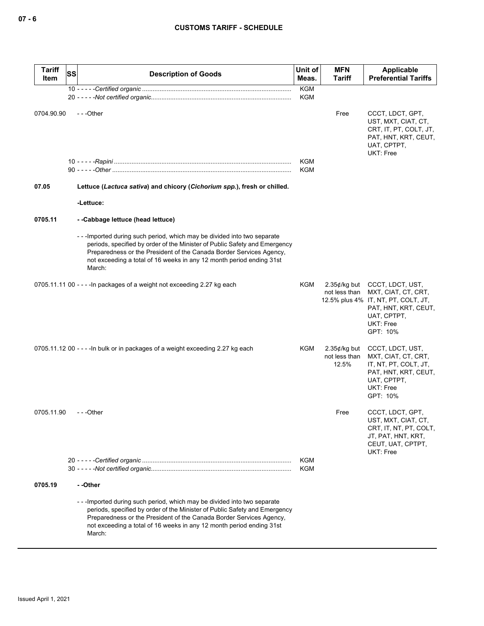| <b>Tariff</b><br>Item | <b>SS</b> | <b>Description of Goods</b>                                                                                                                                                                                                                                                                                   | Unit of<br>Meas.         | <b>MFN</b><br>Tariff                      | Applicable<br><b>Preferential Tariffs</b>                                                                                                             |
|-----------------------|-----------|---------------------------------------------------------------------------------------------------------------------------------------------------------------------------------------------------------------------------------------------------------------------------------------------------------------|--------------------------|-------------------------------------------|-------------------------------------------------------------------------------------------------------------------------------------------------------|
|                       |           |                                                                                                                                                                                                                                                                                                               | <b>KGM</b><br>KGM        |                                           |                                                                                                                                                       |
| 0704.90.90            |           | ---Other                                                                                                                                                                                                                                                                                                      |                          | Free                                      | CCCT, LDCT, GPT,<br>UST, MXT, CIAT, CT,<br>CRT, IT, PT, COLT, JT,<br>PAT, HNT, KRT, CEUT,<br>UAT, CPTPT,<br><b>UKT: Free</b>                          |
|                       |           |                                                                                                                                                                                                                                                                                                               | <b>KGM</b><br><b>KGM</b> |                                           |                                                                                                                                                       |
| 07.05                 |           | Lettuce (Lactuca sativa) and chicory (Cichorium spp.), fresh or chilled.                                                                                                                                                                                                                                      |                          |                                           |                                                                                                                                                       |
|                       |           | -Lettuce:                                                                                                                                                                                                                                                                                                     |                          |                                           |                                                                                                                                                       |
| 0705.11               |           | --Cabbage lettuce (head lettuce)                                                                                                                                                                                                                                                                              |                          |                                           |                                                                                                                                                       |
|                       |           | ---Imported during such period, which may be divided into two separate<br>periods, specified by order of the Minister of Public Safety and Emergency<br>Preparedness or the President of the Canada Border Services Agency,<br>not exceeding a total of 16 weeks in any 12 month period ending 31st<br>March: |                          |                                           |                                                                                                                                                       |
|                       |           | 0705.11.11 00 - - - - In packages of a weight not exceeding 2.27 kg each                                                                                                                                                                                                                                      | KGM                      | $2.35$ ¢/kg but<br>not less than          | CCCT, LDCT, UST,<br>MXT, CIAT, CT, CRT,<br>12.5% plus 4% IT, NT, PT, COLT, JT,<br>PAT, HNT, KRT, CEUT,<br>UAT, CPTPT,<br><b>UKT: Free</b><br>GPT: 10% |
|                       |           | 0705.11.12 00 - - - - In bulk or in packages of a weight exceeding 2.27 kg each                                                                                                                                                                                                                               | KGM                      | $2.35$ ¢/kg but<br>not less than<br>12.5% | CCCT, LDCT, UST,<br>MXT, CIAT, CT, CRT,<br>IT, NT, PT, COLT, JT,<br>PAT, HNT, KRT, CEUT,<br>UAT, CPTPT,<br><b>UKT: Free</b><br>GPT: 10%               |
| 0705.11.90            |           | ---Other                                                                                                                                                                                                                                                                                                      |                          | Free                                      | CCCT, LDCT, GPT,<br>UST, MXT, CIAT, CT,<br>CRT, IT, NT, PT, COLT,<br>JT, PAT, HNT, KRT,<br>CEUT, UAT, CPTPT,<br>UKT: Free                             |
|                       |           |                                                                                                                                                                                                                                                                                                               | <b>KGM</b><br><b>KGM</b> |                                           |                                                                                                                                                       |
| 0705.19               |           | - -Other                                                                                                                                                                                                                                                                                                      |                          |                                           |                                                                                                                                                       |
|                       |           | ---Imported during such period, which may be divided into two separate<br>periods, specified by order of the Minister of Public Safety and Emergency<br>Preparedness or the President of the Canada Border Services Agency,<br>not exceeding a total of 16 weeks in any 12 month period ending 31st<br>March: |                          |                                           |                                                                                                                                                       |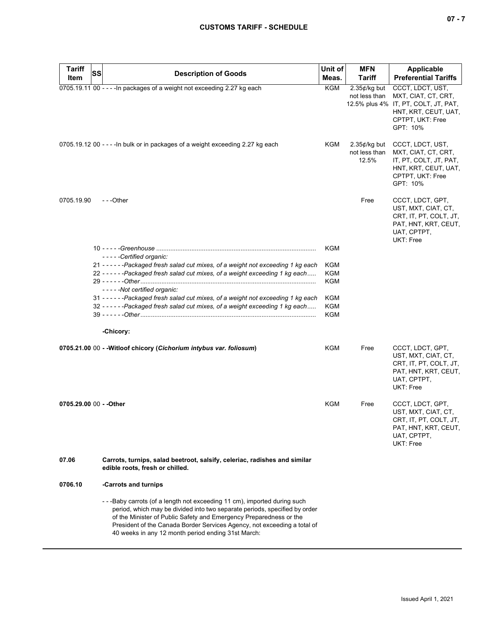| <b>Tariff</b>           | <b>SS</b> |                                                                                                                                                                                                                                                                                                                                                              | Unit of           | <b>MFN</b>                                | <b>Applicable</b>                                                                                                                       |
|-------------------------|-----------|--------------------------------------------------------------------------------------------------------------------------------------------------------------------------------------------------------------------------------------------------------------------------------------------------------------------------------------------------------------|-------------------|-------------------------------------------|-----------------------------------------------------------------------------------------------------------------------------------------|
| Item                    |           | <b>Description of Goods</b>                                                                                                                                                                                                                                                                                                                                  | Meas.             | <b>Tariff</b>                             | <b>Preferential Tariffs</b>                                                                                                             |
|                         |           | 0705.19.11 00 - - - - In packages of a weight not exceeding 2.27 kg each                                                                                                                                                                                                                                                                                     | <b>KGM</b>        | $2.35¢/kg$ but<br>not less than           | CCCT, LDCT, UST,<br>MXT, CIAT, CT, CRT,<br>12.5% plus 4% IT, PT, COLT, JT, PAT,<br>HNT, KRT, CEUT, UAT,<br>CPTPT, UKT: Free<br>GPT: 10% |
|                         |           | 0705.19.12 00 - - - - In bulk or in packages of a weight exceeding 2.27 kg each                                                                                                                                                                                                                                                                              | KGM               | $2.35$ ¢/kg but<br>not less than<br>12.5% | CCCT, LDCT, UST,<br>MXT, CIAT, CT, CRT,<br>IT, PT, COLT, JT, PAT,<br>HNT, KRT, CEUT, UAT,<br>CPTPT, UKT: Free<br>GPT: 10%               |
| 0705.19.90              |           | ---Other                                                                                                                                                                                                                                                                                                                                                     |                   | Free                                      | CCCT, LDCT, GPT,<br>UST, MXT, CIAT, CT,<br>CRT, IT, PT, COLT, JT,<br>PAT, HNT, KRT, CEUT,<br>UAT, CPTPT,<br>UKT: Free                   |
|                         |           | - - - - - Certified organic:                                                                                                                                                                                                                                                                                                                                 | <b>KGM</b>        |                                           |                                                                                                                                         |
|                         |           | 21 - - - - - - Packaged fresh salad cut mixes, of a weight not exceeding 1 kg each                                                                                                                                                                                                                                                                           | KGM               |                                           |                                                                                                                                         |
|                         |           | 22 - - - - - - Packaged fresh salad cut mixes, of a weight exceeding 1 kg each                                                                                                                                                                                                                                                                               | KGM<br><b>KGM</b> |                                           |                                                                                                                                         |
|                         |           | -----Not certified organic:                                                                                                                                                                                                                                                                                                                                  |                   |                                           |                                                                                                                                         |
|                         |           | 31 - - - - - - Packaged fresh salad cut mixes, of a weight not exceeding 1 kg each<br>32 - - - - - - Packaged fresh salad cut mixes, of a weight exceeding 1 kg each                                                                                                                                                                                         | KGM<br>KGM<br>KGM |                                           |                                                                                                                                         |
|                         |           | -Chicory:                                                                                                                                                                                                                                                                                                                                                    |                   |                                           |                                                                                                                                         |
|                         |           | 0705.21.00 00 - - Witloof chicory (Cichorium intybus var. foliosum)                                                                                                                                                                                                                                                                                          | KGM               | Free                                      | CCCT, LDCT, GPT,<br>UST, MXT, CIAT, CT,<br>CRT, IT, PT, COLT, JT,<br>PAT, HNT, KRT, CEUT,<br>UAT, CPTPT,<br>UKT: Free                   |
| 0705.29.00 00 - - Other |           |                                                                                                                                                                                                                                                                                                                                                              | KGM               | Free                                      | CCCT, LDCT, GPT,<br>UST, MXT, CIAT, CT,<br>CRT, IT, PT, COLT, JT,<br>PAT, HNT, KRT, CEUT,<br>UAT, CPTPT,<br>UKT: Free                   |
| 07.06                   |           | Carrots, turnips, salad beetroot, salsify, celeriac, radishes and similar<br>edible roots, fresh or chilled.                                                                                                                                                                                                                                                 |                   |                                           |                                                                                                                                         |
| 0706.10                 |           | -Carrots and turnips                                                                                                                                                                                                                                                                                                                                         |                   |                                           |                                                                                                                                         |
|                         |           | --Baby carrots (of a length not exceeding 11 cm), imported during such<br>period, which may be divided into two separate periods, specified by order<br>of the Minister of Public Safety and Emergency Preparedness or the<br>President of the Canada Border Services Agency, not exceeding a total of<br>40 weeks in any 12 month period ending 31st March: |                   |                                           |                                                                                                                                         |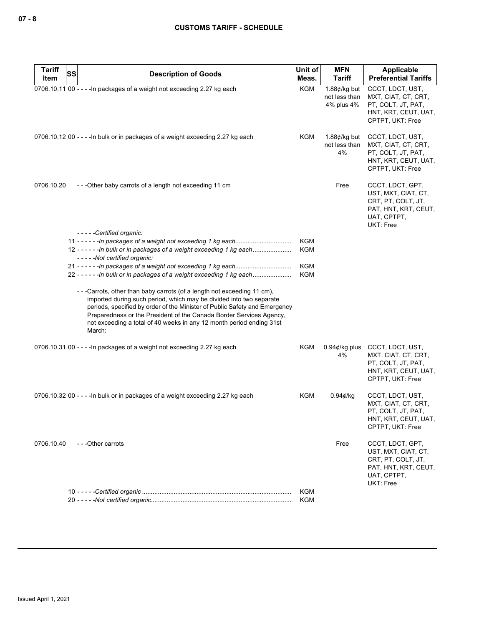| <b>Tariff</b><br>Item | SS<br><b>Description of Goods</b>                                                                                                                                                                                                                                                                                                                                                       | Unit of<br>Meas.  | <b>MFN</b><br><b>Tariff</b>                           | Applicable<br><b>Preferential Tariffs</b>                                                                                |
|-----------------------|-----------------------------------------------------------------------------------------------------------------------------------------------------------------------------------------------------------------------------------------------------------------------------------------------------------------------------------------------------------------------------------------|-------------------|-------------------------------------------------------|--------------------------------------------------------------------------------------------------------------------------|
|                       | 0706.10.11 00 - - - - In packages of a weight not exceeding 2.27 kg each                                                                                                                                                                                                                                                                                                                | KGM               | 1.88 $\not\in$ /kg but<br>not less than<br>4% plus 4% | CCCT, LDCT, UST,<br>MXT, CIAT, CT, CRT,<br>PT, COLT, JT, PAT,<br>HNT, KRT, CEUT, UAT,<br>CPTPT, UKT: Free                |
|                       | 0706.10.12 00 - - - - In bulk or in packages of a weight exceeding 2.27 kg each                                                                                                                                                                                                                                                                                                         | KGM               | 1.88 $\not\in$ /kg but<br>not less than<br>4%         | CCCT, LDCT, UST,<br>MXT, CIAT, CT, CRT,<br>PT, COLT, JT, PAT,<br>HNT, KRT, CEUT, UAT,<br>CPTPT, UKT: Free                |
| 0706.10.20            | ---Other baby carrots of a length not exceeding 11 cm                                                                                                                                                                                                                                                                                                                                   |                   | Free                                                  | CCCT, LDCT, GPT,<br>UST, MXT, CIAT, CT,<br>CRT, PT, COLT, JT,<br>PAT, HNT, KRT, CEUT,<br>UAT, CPTPT,<br><b>UKT: Free</b> |
|                       | -----Certified organic:<br>12 - - - - - - In bulk or in packages of a weight exceeding 1 kg each                                                                                                                                                                                                                                                                                        | KGM<br>KGM        |                                                       |                                                                                                                          |
|                       | -----Not certified organic:<br>22 - - - - - - In bulk or in packages of a weight exceeding 1 kg each                                                                                                                                                                                                                                                                                    | KGM<br><b>KGM</b> |                                                       |                                                                                                                          |
|                       | - - - Carrots, other than baby carrots (of a length not exceeding 11 cm),<br>imported during such period, which may be divided into two separate<br>periods, specified by order of the Minister of Public Safety and Emergency<br>Preparedness or the President of the Canada Border Services Agency,<br>not exceeding a total of 40 weeks in any 12 month period ending 31st<br>March: |                   |                                                       |                                                                                                                          |
|                       | 0706.10.31 00 - - - - In packages of a weight not exceeding 2.27 kg each                                                                                                                                                                                                                                                                                                                | KGM               | $0.94$ ¢/kg plus<br>4%                                | CCCT, LDCT, UST,<br>MXT, CIAT, CT, CRT,<br>PT, COLT, JT, PAT,<br>HNT, KRT, CEUT, UAT,<br>CPTPT, UKT: Free                |
|                       | 0706.10.32 00 - - - - In bulk or in packages of a weight exceeding 2.27 kg each                                                                                                                                                                                                                                                                                                         | KGM               | $0.94$ ¢/kg                                           | CCCT, LDCT, UST,<br>MXT, CIAT, CT, CRT,<br>PT, COLT, JT, PAT,<br>HNT, KRT, CEUT, UAT,<br>CPTPT, UKT: Free                |
| 0706.10.40            | ---Other carrots                                                                                                                                                                                                                                                                                                                                                                        |                   | Free                                                  | CCCT, LDCT, GPT,<br>UST, MXT, CIAT, CT,<br>CRT, PT, COLT, JT,<br>PAT, HNT, KRT, CEUT,<br>UAT, CPTPT,<br><b>UKT: Free</b> |
|                       |                                                                                                                                                                                                                                                                                                                                                                                         | KGM               |                                                       |                                                                                                                          |
|                       |                                                                                                                                                                                                                                                                                                                                                                                         | KGM               |                                                       |                                                                                                                          |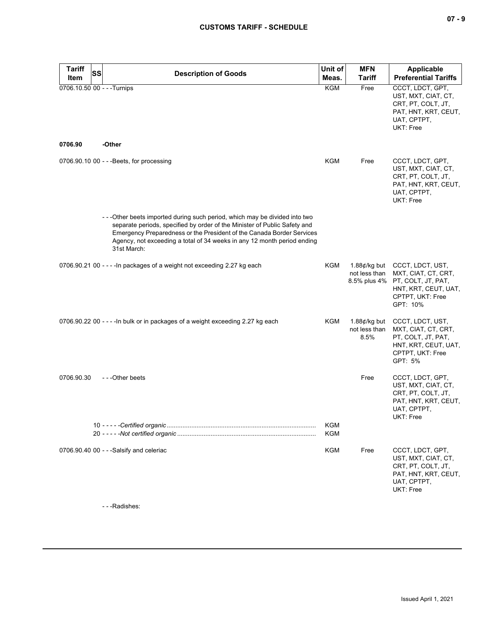| <b>Tariff</b><br>SS                    |                                                                                                                                                                                                                                                                                                                             | Unit of                  | <b>MFN</b>                                                     | <b>Applicable</b>                                                                                                     |
|----------------------------------------|-----------------------------------------------------------------------------------------------------------------------------------------------------------------------------------------------------------------------------------------------------------------------------------------------------------------------------|--------------------------|----------------------------------------------------------------|-----------------------------------------------------------------------------------------------------------------------|
| Item                                   | <b>Description of Goods</b>                                                                                                                                                                                                                                                                                                 | Meas.                    | <b>Tariff</b>                                                  | <b>Preferential Tariffs</b>                                                                                           |
| 0706.10.50 00 - - - Turnips<br>0706.90 | -Other                                                                                                                                                                                                                                                                                                                      | <b>KGM</b>               | Free                                                           | CCCT, LDCT, GPT,<br>UST, MXT, CIAT, CT,<br>CRT, PT, COLT, JT,<br>PAT, HNT, KRT, CEUT,<br>UAT, CPTPT,<br>UKT: Free     |
|                                        |                                                                                                                                                                                                                                                                                                                             |                          |                                                                |                                                                                                                       |
|                                        | 0706.90.10 00 - - - Beets, for processing                                                                                                                                                                                                                                                                                   | KGM                      | Free                                                           | CCCT, LDCT, GPT,<br>UST, MXT, CIAT, CT,<br>CRT, PT, COLT, JT,<br>PAT, HNT, KRT, CEUT,<br>UAT, CPTPT,<br>UKT: Free     |
|                                        | -- - Other beets imported during such period, which may be divided into two<br>separate periods, specified by order of the Minister of Public Safety and<br>Emergency Preparedness or the President of the Canada Border Services<br>Agency, not exceeding a total of 34 weeks in any 12 month period ending<br>31st March: |                          |                                                                |                                                                                                                       |
|                                        | 0706.90.21 00 - - - - In packages of a weight not exceeding 2.27 kg each                                                                                                                                                                                                                                                    | KGM                      | 1.88 $\not\!\epsilon$ /kg but<br>not less than<br>8.5% plus 4% | CCCT, LDCT, UST,<br>MXT, CIAT, CT, CRT,<br>PT, COLT, JT, PAT,<br>HNT, KRT, CEUT, UAT,<br>CPTPT, UKT: Free<br>GPT: 10% |
|                                        | 0706.90.22 00 - - - - In bulk or in packages of a weight exceeding 2.27 kg each                                                                                                                                                                                                                                             | KGM                      | 1.88 $\not\in$ /kg but<br>not less than<br>8.5%                | CCCT, LDCT, UST,<br>MXT, CIAT, CT, CRT,<br>PT, COLT, JT, PAT,<br>HNT, KRT, CEUT, UAT,<br>CPTPT, UKT: Free<br>GPT: 5%  |
| 0706.90.30                             | ---Other beets                                                                                                                                                                                                                                                                                                              |                          | Free                                                           | CCCT, LDCT, GPT,<br>UST, MXT, CIAT, CT,<br>CRT, PT, COLT, JT,<br>PAT, HNT, KRT, CEUT,<br>UAT, CPTPT,<br>UKT: Free     |
|                                        |                                                                                                                                                                                                                                                                                                                             | <b>KGM</b><br><b>KGM</b> |                                                                |                                                                                                                       |
|                                        | 0706.90.40 00 - - - Salsify and celeriac                                                                                                                                                                                                                                                                                    | KGM                      | Free                                                           | CCCT, LDCT, GPT,<br>UST, MXT, CIAT, CT,<br>CRT, PT, COLT, JT,<br>PAT, HNT, KRT, CEUT,<br>UAT, CPTPT,<br>UKT: Free     |
|                                        | Dodishoo:                                                                                                                                                                                                                                                                                                                   |                          |                                                                |                                                                                                                       |

- - -Radishes: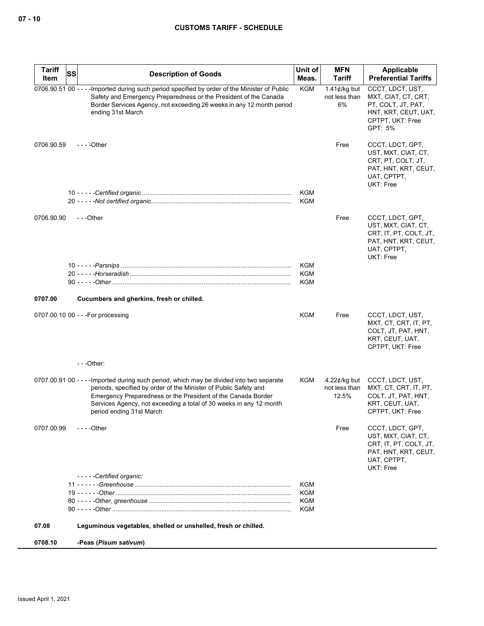| <b>Tariff</b> | SS | <b>Description of Goods</b>                                                                                                                                                                                                                                                                                                     | Unit of                  | MFN                                                     | Applicable                                                                                                            |
|---------------|----|---------------------------------------------------------------------------------------------------------------------------------------------------------------------------------------------------------------------------------------------------------------------------------------------------------------------------------|--------------------------|---------------------------------------------------------|-----------------------------------------------------------------------------------------------------------------------|
| Item          |    |                                                                                                                                                                                                                                                                                                                                 | Meas.                    | Tariff                                                  | <b>Preferential Tariffs</b>                                                                                           |
|               |    | 0706.90.51 00 - - - - Imported during such period specified by order of the Minister of Public<br>Safety and Emergency Preparedness or the President of the Canada<br>Border Services Agency, not exceeding 26 weeks in any 12 month period<br>ending 31st March                                                                | <b>KGM</b>               | 1.41 $\not\in$ /kg but<br>not less than<br>6%           | CCCT, LDCT, UST,<br>MXT, CIAT, CT, CRT,<br>PT, COLT, JT, PAT,<br>HNT, KRT, CEUT, UAT,<br>CPTPT, UKT: Free<br>GPT: 5%  |
| 0706.90.59    |    | - - - - Other                                                                                                                                                                                                                                                                                                                   |                          | Free                                                    | CCCT, LDCT, GPT,<br>UST, MXT, CIAT, CT,<br>CRT, PT, COLT, JT,<br>PAT, HNT, KRT, CEUT,<br>UAT, CPTPT,<br>UKT: Free     |
|               |    |                                                                                                                                                                                                                                                                                                                                 | KGM<br><b>KGM</b>        |                                                         |                                                                                                                       |
| 0706.90.90    |    | ---Other                                                                                                                                                                                                                                                                                                                        |                          | Free                                                    | CCCT, LDCT, GPT,<br>UST, MXT, CIAT, CT,<br>CRT, IT, PT, COLT, JT,<br>PAT, HNT, KRT, CEUT,<br>UAT, CPTPT,<br>UKT: Free |
|               |    |                                                                                                                                                                                                                                                                                                                                 | <b>KGM</b><br><b>KGM</b> |                                                         |                                                                                                                       |
|               |    |                                                                                                                                                                                                                                                                                                                                 | <b>KGM</b>               |                                                         |                                                                                                                       |
|               |    |                                                                                                                                                                                                                                                                                                                                 |                          |                                                         |                                                                                                                       |
| 0707.00       |    | Cucumbers and gherkins, fresh or chilled.                                                                                                                                                                                                                                                                                       |                          |                                                         |                                                                                                                       |
|               |    | 0707.00.10 00 - - - For processing                                                                                                                                                                                                                                                                                              | KGM                      | Free                                                    | CCCT, LDCT, UST,<br>MXT, CT, CRT, IT, PT,<br>COLT, JT, PAT, HNT,<br>KRT, CEUT, UAT,<br>CPTPT, UKT: Free               |
|               |    | $--$ Other:                                                                                                                                                                                                                                                                                                                     |                          |                                                         |                                                                                                                       |
|               |    | 0707.00.91 00 - - - - Imported during such period, which may be divided into two separate<br>periods, specified by order of the Minister of Public Safety and<br>Emergency Preparedness or the President of the Canada Border<br>Services Agency, not exceeding a total of 30 weeks in any 12 month<br>period ending 31st March | KGM                      | 4.22 $\not\!\epsilon$ /kg but<br>not less than<br>12.5% | CCCT, LDCT, UST,<br>MXT, CT, CRT, IT, PT,<br>COLT, JT, PAT, HNT,<br>KRT, CEUT, UAT,<br>CPTPT, UKT: Free               |
| 0707.00.99    |    | $- - -$ Other                                                                                                                                                                                                                                                                                                                   |                          | Free                                                    | CCCT, LDCT, GPT,<br>UST, MXT, CIAT, CT,<br>CRT, IT, PT, COLT, JT,<br>PAT, HNT, KRT, CEUT,<br>UAT, CPTPT,<br>UKT: Free |
|               |    | -----Certified organic:                                                                                                                                                                                                                                                                                                         | <b>KGM</b>               |                                                         |                                                                                                                       |
|               |    |                                                                                                                                                                                                                                                                                                                                 | <b>KGM</b>               |                                                         |                                                                                                                       |
|               |    |                                                                                                                                                                                                                                                                                                                                 | <b>KGM</b>               |                                                         |                                                                                                                       |
|               |    |                                                                                                                                                                                                                                                                                                                                 | KGM                      |                                                         |                                                                                                                       |
| 07.08         |    | Leguminous vegetables, shelled or unshelled, fresh or chilled.                                                                                                                                                                                                                                                                  |                          |                                                         |                                                                                                                       |
| 0708.10       |    | -Peas (Pisum sativum)                                                                                                                                                                                                                                                                                                           |                          |                                                         |                                                                                                                       |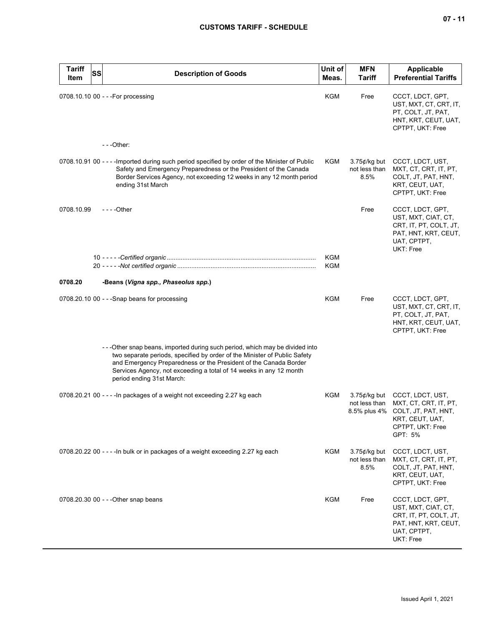| <b>Tariff</b><br>Item | SS | <b>Description of Goods</b>                                                                                                                                                                                                                                                                                                     | Unit of<br>Meas. | <b>MFN</b><br><b>Tariff</b>              | <b>Applicable</b><br><b>Preferential Tariffs</b>                                                                                             |
|-----------------------|----|---------------------------------------------------------------------------------------------------------------------------------------------------------------------------------------------------------------------------------------------------------------------------------------------------------------------------------|------------------|------------------------------------------|----------------------------------------------------------------------------------------------------------------------------------------------|
|                       |    | 0708.10.10 00 - - - For processing                                                                                                                                                                                                                                                                                              | KGM              | Free                                     | CCCT, LDCT, GPT,<br>UST, MXT, CT, CRT, IT,<br>PT, COLT, JT, PAT,<br>HNT, KRT, CEUT, UAT,<br>CPTPT, UKT: Free                                 |
|                       |    | ---Other:                                                                                                                                                                                                                                                                                                                       |                  |                                          |                                                                                                                                              |
|                       |    | 0708.10.91 00 - - - - Imported during such period specified by order of the Minister of Public<br>Safety and Emergency Preparedness or the President of the Canada<br>Border Services Agency, not exceeding 12 weeks in any 12 month period<br>ending 31st March                                                                | KGM              | $3.75$ ¢/kg but<br>not less than<br>8.5% | CCCT, LDCT, UST,<br>MXT, CT, CRT, IT, PT,<br>COLT, JT, PAT, HNT,<br>KRT, CEUT, UAT,<br>CPTPT, UKT: Free                                      |
| 0708.10.99            |    | - - - - Other                                                                                                                                                                                                                                                                                                                   |                  | Free                                     | CCCT, LDCT, GPT,<br>UST, MXT, CIAT, CT,<br>CRT, IT, PT, COLT, JT,<br>PAT, HNT, KRT, CEUT,<br>UAT, CPTPT,<br>UKT: Free                        |
|                       |    |                                                                                                                                                                                                                                                                                                                                 | <b>KGM</b>       |                                          |                                                                                                                                              |
|                       |    |                                                                                                                                                                                                                                                                                                                                 | KGM              |                                          |                                                                                                                                              |
| 0708.20               |    | -Beans (Vigna spp., Phaseolus spp.)                                                                                                                                                                                                                                                                                             |                  |                                          |                                                                                                                                              |
|                       |    | 0708.20.10 00 - - - Snap beans for processing                                                                                                                                                                                                                                                                                   | KGM              | Free                                     | CCCT, LDCT, GPT,<br>UST, MXT, CT, CRT, IT,<br>PT, COLT, JT, PAT,<br>HNT, KRT, CEUT, UAT,<br>CPTPT, UKT: Free                                 |
|                       |    | ---Other snap beans, imported during such period, which may be divided into<br>two separate periods, specified by order of the Minister of Public Safety<br>and Emergency Preparedness or the President of the Canada Border<br>Services Agency, not exceeding a total of 14 weeks in any 12 month<br>period ending 31st March: |                  |                                          |                                                                                                                                              |
|                       |    | 0708.20.21 00 - - - - In packages of a weight not exceeding 2.27 kg each                                                                                                                                                                                                                                                        | KGM              | not less than                            | 3.75¢/kg but CCCT, LDCT, UST,<br>MXT, CT, CRT, IT, PT,<br>8.5% plus 4% COLT, JT, PAT, HNT,<br>KRT, CEUT, UAT,<br>CPTPT, UKT: Free<br>GPT: 5% |
|                       |    | 0708.20.22 00 - - - - In bulk or in packages of a weight exceeding 2.27 kg each                                                                                                                                                                                                                                                 | KGM              | $3.75$ ¢/kg but<br>not less than<br>8.5% | CCCT, LDCT, UST,<br>MXT, CT, CRT, IT, PT,<br>COLT, JT, PAT, HNT,<br>KRT, CEUT, UAT,<br>CPTPT, UKT: Free                                      |
|                       |    | 0708.20.30 00 - - - Other snap beans                                                                                                                                                                                                                                                                                            | <b>KGM</b>       | Free                                     | CCCT, LDCT, GPT,<br>UST, MXT, CIAT, CT,<br>CRT, IT, PT, COLT, JT,<br>PAT, HNT, KRT, CEUT,<br>UAT, CPTPT,<br>UKT: Free                        |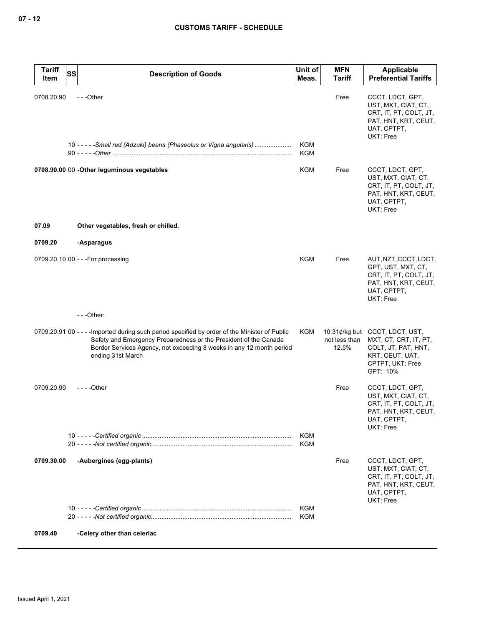| <b>Tariff</b><br>SS<br>Item | <b>Description of Goods</b>                                                                                                                                                                                                                                     | Unit of<br>Meas.  | <b>MFN</b><br><b>Tariff</b> | Applicable<br><b>Preferential Tariffs</b>                                                                                         |
|-----------------------------|-----------------------------------------------------------------------------------------------------------------------------------------------------------------------------------------------------------------------------------------------------------------|-------------------|-----------------------------|-----------------------------------------------------------------------------------------------------------------------------------|
| 0708.20.90                  | ---Other<br>10 - - - - - Small red (Adzuki) beans (Phaseolus or Vigna angularis)                                                                                                                                                                                | <b>KGM</b><br>KGM | Free                        | CCCT, LDCT, GPT,<br>UST, MXT, CIAT, CT,<br>CRT, IT, PT, COLT, JT,<br>PAT, HNT, KRT, CEUT,<br>UAT, CPTPT,<br>UKT: Free             |
|                             | 0708.90.00 00 - Other leguminous vegetables                                                                                                                                                                                                                     | KGM               | Free                        | CCCT, LDCT, GPT,<br>UST, MXT, CIAT, CT,<br>CRT, IT, PT, COLT, JT,<br>PAT, HNT, KRT, CEUT,<br>UAT, CPTPT,<br>UKT: Free             |
| 07.09                       | Other vegetables, fresh or chilled.                                                                                                                                                                                                                             |                   |                             |                                                                                                                                   |
| 0709.20                     | -Asparagus                                                                                                                                                                                                                                                      |                   |                             |                                                                                                                                   |
|                             | 0709.20.10 00 - - - For processing                                                                                                                                                                                                                              | KGM               | Free                        | AUT, NZT, CCCT, LDCT,<br>GPT, UST, MXT, CT,<br>CRT, IT, PT, COLT, JT,<br>PAT, HNT, KRT, CEUT,<br>UAT, CPTPT,<br>UKT: Free         |
|                             | $--$ Other:                                                                                                                                                                                                                                                     |                   |                             |                                                                                                                                   |
|                             | 0709.20.91 00 - - - - Imported during such period specified by order of the Minister of Public<br>Safety and Emergency Preparedness or the President of the Canada<br>Border Services Agency, not exceeding 8 weeks in any 12 month period<br>ending 31st March | KGM               | not less than<br>12.5%      | 10.31¢/kg but CCCT, LDCT, UST,<br>MXT, CT, CRT, IT, PT,<br>COLT, JT, PAT, HNT,<br>KRT, CEUT, UAT,<br>CPTPT, UKT: Free<br>GPT: 10% |
| 0709.20.99                  | - - - - Other                                                                                                                                                                                                                                                   |                   | Free                        | CCCT, LDCT, GPT,<br>UST, MXT, CIAT, CT,<br>CRT, IT, PT, COLT, JT,<br>PAT, HNT, KRT, CEUT,<br>UAT, CPTPT,<br>UKT: Free             |
|                             |                                                                                                                                                                                                                                                                 | KGM<br>KGM        |                             |                                                                                                                                   |
| 0709.30.00                  | -Aubergines (egg-plants)                                                                                                                                                                                                                                        |                   | Free                        | CCCT, LDCT, GPT,<br>UST, MXT, CIAT, CT,<br>CRT, IT, PT, COLT, JT,<br>PAT, HNT, KRT, CEUT,<br>UAT, CPTPT,<br><b>UKT: Free</b>      |
|                             |                                                                                                                                                                                                                                                                 | KGM<br><b>KGM</b> |                             |                                                                                                                                   |
| 0709.40                     | -Celery other than celeriac                                                                                                                                                                                                                                     |                   |                             |                                                                                                                                   |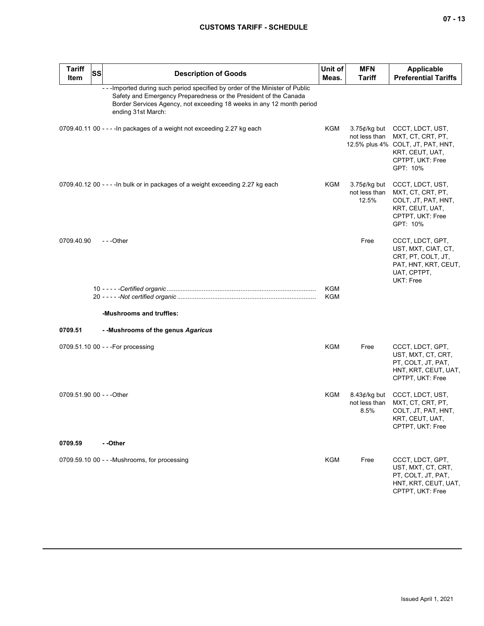| <b>Tariff</b><br>Item     | <b>SS</b> | <b>Description of Goods</b>                                                                                                                                                                                                                     | Unit of<br>Meas.  | <b>MFN</b><br><b>Tariff</b>               | <b>Applicable</b><br><b>Preferential Tariffs</b>                                                                              |
|---------------------------|-----------|-------------------------------------------------------------------------------------------------------------------------------------------------------------------------------------------------------------------------------------------------|-------------------|-------------------------------------------|-------------------------------------------------------------------------------------------------------------------------------|
|                           |           | --- Imported during such period specified by order of the Minister of Public<br>Safety and Emergency Preparedness or the President of the Canada<br>Border Services Agency, not exceeding 18 weeks in any 12 month period<br>ending 31st March: |                   |                                           |                                                                                                                               |
|                           |           | 0709.40.11 00 - - - - In packages of a weight not exceeding 2.27 kg each                                                                                                                                                                        | KGM               | $3.75$ ¢/kg but<br>not less than          | CCCT, LDCT, UST,<br>MXT, CT, CRT, PT,<br>12.5% plus 4% COLT, JT, PAT, HNT,<br>KRT, CEUT, UAT,<br>CPTPT, UKT: Free<br>GPT: 10% |
|                           |           | 0709.40.12 00 - - - - In bulk or in packages of a weight exceeding 2.27 kg each                                                                                                                                                                 | KGM               | $3.75$ ¢/kg but<br>not less than<br>12.5% | CCCT, LDCT, UST,<br>MXT, CT, CRT, PT,<br>COLT, JT, PAT, HNT,<br>KRT, CEUT, UAT,<br>CPTPT, UKT: Free<br>GPT: 10%               |
| 0709.40.90                |           | ---Other                                                                                                                                                                                                                                        |                   | Free                                      | CCCT, LDCT, GPT,<br>UST, MXT, CIAT, CT,<br>CRT, PT, COLT, JT,<br>PAT, HNT, KRT, CEUT,<br>UAT, CPTPT,<br>UKT: Free             |
|                           |           |                                                                                                                                                                                                                                                 | KGM<br><b>KGM</b> |                                           |                                                                                                                               |
|                           |           | -Mushrooms and truffles:                                                                                                                                                                                                                        |                   |                                           |                                                                                                                               |
| 0709.51                   |           | - - Mushrooms of the genus Agaricus                                                                                                                                                                                                             |                   |                                           |                                                                                                                               |
|                           |           | 0709.51.10 00 - - - For processing                                                                                                                                                                                                              | <b>KGM</b>        | Free                                      | CCCT, LDCT, GPT,<br>UST, MXT, CT, CRT,<br>PT, COLT, JT, PAT,<br>HNT, KRT, CEUT, UAT,<br>CPTPT, UKT: Free                      |
| 0709.51.90 00 - - - Other |           |                                                                                                                                                                                                                                                 | KGM               | $8.43$ ¢/kg but<br>not less than<br>8.5%  | CCCT, LDCT, UST,<br>MXT, CT, CRT, PT,<br>COLT, JT, PAT, HNT,<br>KRT, CEUT, UAT,<br>CPTPT, UKT: Free                           |
| 0709.59                   |           | - -Other                                                                                                                                                                                                                                        |                   |                                           |                                                                                                                               |
|                           |           | 0709.59.10 00 - - - Mushrooms, for processing                                                                                                                                                                                                   | KGM               | Free                                      | CCCT, LDCT, GPT,<br>UST, MXT, CT, CRT,<br>PT, COLT, JT, PAT,<br>HNT, KRT, CEUT, UAT,<br>CPTPT, UKT: Free                      |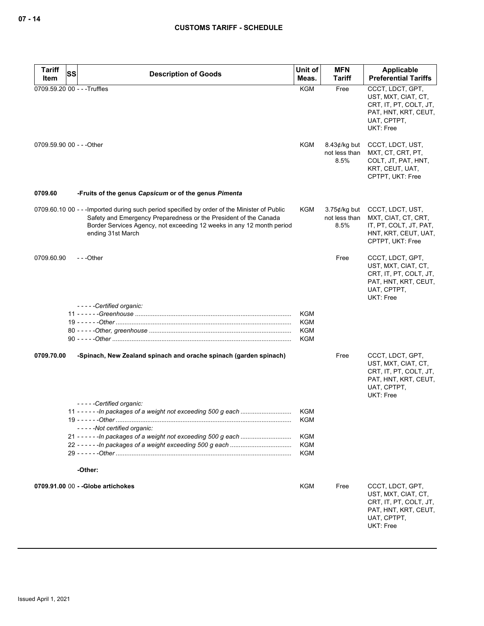| <b>Tariff</b><br>SS          | <b>Description of Goods</b>                                                                                                                                                                                                                                    | Unit of                  | <b>MFN</b>                               | Applicable                                                                                                            |
|------------------------------|----------------------------------------------------------------------------------------------------------------------------------------------------------------------------------------------------------------------------------------------------------------|--------------------------|------------------------------------------|-----------------------------------------------------------------------------------------------------------------------|
| Item                         |                                                                                                                                                                                                                                                                | Meas.                    | <b>Tariff</b>                            | <b>Preferential Tariffs</b>                                                                                           |
| 0709.59.20 00 - - - Truffles |                                                                                                                                                                                                                                                                | <b>KGM</b>               | Free                                     | CCCT, LDCT, GPT,<br>UST, MXT, CIAT, CT,<br>CRT, IT, PT, COLT, JT,<br>PAT, HNT, KRT, CEUT,<br>UAT, CPTPT,<br>UKT: Free |
| 0709.59.90 00 - - - Other    |                                                                                                                                                                                                                                                                | KGM                      | $8.43$ ¢/kg but<br>not less than<br>8.5% | CCCT, LDCT, UST,<br>MXT, CT, CRT, PT,<br>COLT, JT, PAT, HNT,<br>KRT, CEUT, UAT,<br>CPTPT, UKT: Free                   |
| 0709.60                      | -Fruits of the genus Capsicum or of the genus Pimenta                                                                                                                                                                                                          |                          |                                          |                                                                                                                       |
|                              | 0709.60.10 00 - - - Imported during such period specified by order of the Minister of Public<br>Safety and Emergency Preparedness or the President of the Canada<br>Border Services Agency, not exceeding 12 weeks in any 12 month period<br>ending 31st March | KGM                      | $3.75$ ¢/kg but<br>not less than<br>8.5% | CCCT, LDCT, UST,<br>MXT, CIAT, CT, CRT,<br>IT, PT, COLT, JT, PAT,<br>HNT, KRT, CEUT, UAT,<br>CPTPT, UKT: Free         |
| 0709.60.90                   | ---Other                                                                                                                                                                                                                                                       |                          | Free                                     | CCCT, LDCT, GPT,<br>UST, MXT, CIAT, CT,<br>CRT, IT, PT, COLT, JT,<br>PAT, HNT, KRT, CEUT,<br>UAT, CPTPT,<br>UKT: Free |
|                              | -----Certified organic:                                                                                                                                                                                                                                        | <b>KGM</b><br><b>KGM</b> |                                          |                                                                                                                       |
|                              |                                                                                                                                                                                                                                                                | <b>KGM</b><br>KGM        |                                          |                                                                                                                       |
| 0709.70.00                   | -Spinach, New Zealand spinach and orache spinach (garden spinach)                                                                                                                                                                                              |                          | Free                                     | CCCT, LDCT, GPT,<br>UST, MXT, CIAT, CT,<br>CRT, IT, PT, COLT, JT,<br>PAT, HNT, KRT, CEUT,<br>UAT, CPTPT,<br>UKT: Free |
|                              | -----Certified organic:<br>11 - - - - - - In packages of a weight not exceeding 500 g each                                                                                                                                                                     | KGM                      |                                          |                                                                                                                       |
|                              | 19 - - - - - - Other ……………………………………………………………………………………<br>-----Not certified organic:                                                                                                                                                                           | KGM                      |                                          |                                                                                                                       |
|                              |                                                                                                                                                                                                                                                                | <b>KGM</b><br><b>KGM</b> |                                          |                                                                                                                       |
|                              |                                                                                                                                                                                                                                                                | <b>KGM</b>               |                                          |                                                                                                                       |
|                              | -Other:                                                                                                                                                                                                                                                        |                          |                                          |                                                                                                                       |
|                              | 0709.91.00 00 - - Globe artichokes                                                                                                                                                                                                                             | <b>KGM</b>               | Free                                     | CCCT, LDCT, GPT,<br>UST, MXT, CIAT, CT,<br>CRT, IT, PT, COLT, JT,<br>PAT, HNT, KRT, CEUT,<br>UAT, CPTPT,<br>UKT: Free |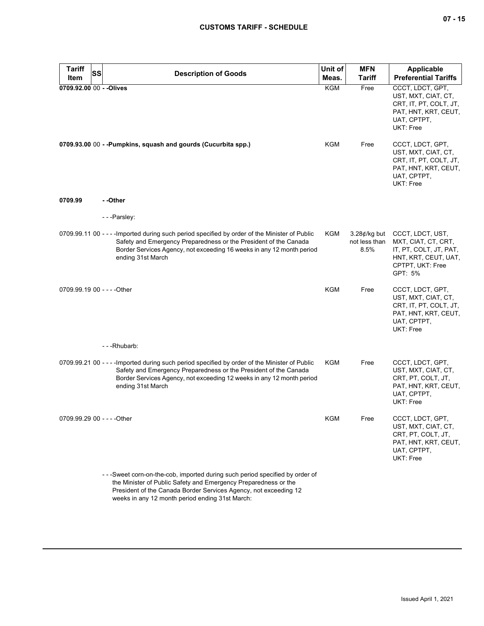| <b>Tariff</b><br>SS<br>Item | <b>Description of Goods</b>                                                                                                                                                                                                                                      | Unit of<br>Meas. | <b>MFN</b><br><b>Tariff</b>              | <b>Applicable</b><br><b>Preferential Tariffs</b>                                                                             |
|-----------------------------|------------------------------------------------------------------------------------------------------------------------------------------------------------------------------------------------------------------------------------------------------------------|------------------|------------------------------------------|------------------------------------------------------------------------------------------------------------------------------|
| 0709.92.00 00 - - Olives    |                                                                                                                                                                                                                                                                  | <b>KGM</b>       | Free                                     | CCCT, LDCT, GPT,<br>UST, MXT, CIAT, CT,<br>CRT, IT, PT, COLT, JT,<br>PAT, HNT, KRT, CEUT,<br>UAT, CPTPT,<br>UKT: Free        |
|                             | 0709.93.00 00 - - Pumpkins, squash and gourds (Cucurbita spp.)                                                                                                                                                                                                   | KGM              | Free                                     | CCCT, LDCT, GPT,<br>UST, MXT, CIAT, CT,<br>CRT, IT, PT, COLT, JT,<br>PAT, HNT, KRT, CEUT,<br>UAT, CPTPT,<br><b>UKT: Free</b> |
| 0709.99                     | - -Other                                                                                                                                                                                                                                                         |                  |                                          |                                                                                                                              |
|                             | ---Parsley:                                                                                                                                                                                                                                                      |                  |                                          |                                                                                                                              |
|                             | 0709.99.11 00 - - - - Imported during such period specified by order of the Minister of Public<br>Safety and Emergency Preparedness or the President of the Canada<br>Border Services Agency, not exceeding 16 weeks in any 12 month period<br>ending 31st March | KGM              | $3.28$ ¢/kg but<br>not less than<br>8.5% | CCCT, LDCT, UST,<br>MXT, CIAT, CT, CRT,<br>IT, PT, COLT, JT, PAT,<br>HNT, KRT, CEUT, UAT,<br>CPTPT, UKT: Free<br>GPT: 5%     |
| 0709.99.19 00 - - - - Other |                                                                                                                                                                                                                                                                  | <b>KGM</b>       | Free                                     | CCCT, LDCT, GPT,<br>UST, MXT, CIAT, CT,<br>CRT, IT, PT, COLT, JT,<br>PAT, HNT, KRT, CEUT,<br>UAT, CPTPT,<br><b>UKT: Free</b> |
|                             | ---Rhubarb:                                                                                                                                                                                                                                                      |                  |                                          |                                                                                                                              |
|                             | 0709.99.21 00 - - - - Imported during such period specified by order of the Minister of Public<br>Safety and Emergency Preparedness or the President of the Canada<br>Border Services Agency, not exceeding 12 weeks in any 12 month period<br>ending 31st March | KGM              | Free                                     | CCCT, LDCT, GPT,<br>UST, MXT, CIAT, CT,<br>CRT, PT, COLT, JT,<br>PAT, HNT, KRT, CEUT,<br>UAT, CPTPT,<br>UKT: Free            |
| 0709.99.29 00 - - - - Other |                                                                                                                                                                                                                                                                  | KGM              | Free                                     | CCCT, LDCT, GPT,<br>UST, MXT, CIAT, CT,<br>CRT, PT, COLT, JT,<br>PAT, HNT, KRT, CEUT,<br>UAT, CPTPT,<br><b>UKT: Free</b>     |
|                             | - - - Sweet corn-on-the-cob, imported during such period specified by order of<br>the Minister of Public Safety and Emergency Preparedness or the                                                                                                                |                  |                                          |                                                                                                                              |

President of the Canada Border Services Agency, not exceeding 12 weeks in any 12 month period ending 31st March: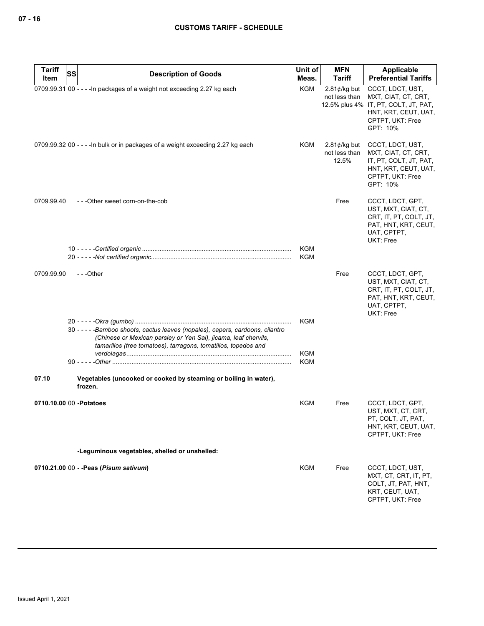| <b>Tariff</b><br>Item | SS<br><b>Description of Goods</b>                                                                                                                                                                                    | Unit of<br>Meas.         | <b>MFN</b><br><b>Tariff</b>               | Applicable<br><b>Preferential Tariffs</b>                                                                                               |
|-----------------------|----------------------------------------------------------------------------------------------------------------------------------------------------------------------------------------------------------------------|--------------------------|-------------------------------------------|-----------------------------------------------------------------------------------------------------------------------------------------|
|                       | 0709.99.31 00 - - - - In packages of a weight not exceeding 2.27 kg each                                                                                                                                             | KGM                      | $2.81$ ¢/kg but<br>not less than          | CCCT, LDCT, UST,<br>MXT, CIAT, CT, CRT,<br>12.5% plus 4% IT, PT, COLT, JT, PAT,<br>HNT, KRT, CEUT, UAT,<br>CPTPT, UKT: Free<br>GPT: 10% |
|                       | 0709.99.32 00 - - - - In bulk or in packages of a weight exceeding 2.27 kg each                                                                                                                                      | KGM                      | $2.81$ ¢/kg but<br>not less than<br>12.5% | CCCT, LDCT, UST,<br>MXT, CIAT, CT, CRT,<br>IT, PT, COLT, JT, PAT,<br>HNT, KRT, CEUT, UAT,<br>CPTPT, UKT: Free<br>GPT: 10%               |
| 0709.99.40            | ---Other sweet corn-on-the-cob                                                                                                                                                                                       |                          | Free                                      | CCCT, LDCT, GPT,<br>UST, MXT, CIAT, CT,<br>CRT, IT, PT, COLT, JT,<br>PAT, HNT, KRT, CEUT,<br>UAT, CPTPT,<br>UKT: Free                   |
|                       |                                                                                                                                                                                                                      | <b>KGM</b><br><b>KGM</b> |                                           |                                                                                                                                         |
| 0709.99.90            | ---Other                                                                                                                                                                                                             |                          | Free                                      | CCCT, LDCT, GPT,<br>UST, MXT, CIAT, CT,<br>CRT, IT, PT, COLT, JT,<br>PAT, HNT, KRT, CEUT,<br>UAT, CPTPT,<br>UKT: Free                   |
|                       | 30 - - - - - Bamboo shoots, cactus leaves (nopales), capers, cardoons, cilantro<br>(Chinese or Mexican parsley or Yen Sai), jicama, leaf chervils,<br>tamarillos (tree tomatoes), tarragons, tomatillos, topedos and | KGM                      |                                           |                                                                                                                                         |
|                       |                                                                                                                                                                                                                      | <b>KGM</b><br>KGM        |                                           |                                                                                                                                         |
| 07.10                 | Vegetables (uncooked or cooked by steaming or boiling in water),<br>frozen.                                                                                                                                          |                          |                                           |                                                                                                                                         |
|                       | 0710.10.00 00 - Potatoes                                                                                                                                                                                             | KGM                      | Free                                      | CCCT, LDCT, GPT,<br>UST, MXT, CT, CRT,<br>PT, COLT, JT, PAT,<br>HNT, KRT, CEUT, UAT,<br>CPTPT, UKT: Free                                |
|                       | -Leguminous vegetables, shelled or unshelled:                                                                                                                                                                        |                          |                                           |                                                                                                                                         |
|                       | 0710.21.00 00 - - Peas (Pisum sativum)                                                                                                                                                                               | KGM                      | Free                                      | CCCT, LDCT, UST,<br>MXT, CT, CRT, IT, PT,<br>COLT, JT, PAT, HNT,<br>KRT, CEUT, UAT,<br>CPTPT, UKT: Free                                 |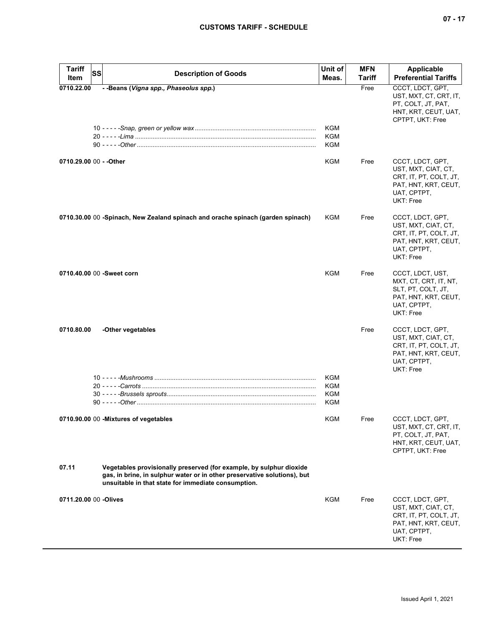| <b>Tariff</b><br>SS       | <b>Description of Goods</b>                                                                                                                                                                            | Unit of    | <b>MFN</b>     | Applicable                                                                                                            |
|---------------------------|--------------------------------------------------------------------------------------------------------------------------------------------------------------------------------------------------------|------------|----------------|-----------------------------------------------------------------------------------------------------------------------|
| Item<br>0710.22.00        | - -Beans (Vigna spp., Phaseolus spp.)                                                                                                                                                                  | Meas.      | Tariff<br>Free | <b>Preferential Tariffs</b><br>CCCT, LDCT, GPT,                                                                       |
|                           |                                                                                                                                                                                                        |            |                | UST, MXT, CT, CRT, IT,<br>PT, COLT, JT, PAT,<br>HNT, KRT, CEUT, UAT,<br>CPTPT, UKT: Free                              |
|                           |                                                                                                                                                                                                        | KGM        |                |                                                                                                                       |
|                           |                                                                                                                                                                                                        | KGM<br>KGM |                |                                                                                                                       |
|                           |                                                                                                                                                                                                        |            |                |                                                                                                                       |
| 0710.29.00 00 - - Other   |                                                                                                                                                                                                        | KGM        | Free           | CCCT, LDCT, GPT,<br>UST, MXT, CIAT, CT,<br>CRT, IT, PT, COLT, JT,<br>PAT, HNT, KRT, CEUT,<br>UAT, CPTPT,<br>UKT: Free |
|                           | 0710.30.00 00 -Spinach, New Zealand spinach and orache spinach (garden spinach)                                                                                                                        | KGM        | Free           | CCCT, LDCT, GPT,<br>UST, MXT, CIAT, CT,<br>CRT, IT, PT, COLT, JT,<br>PAT, HNT, KRT, CEUT,<br>UAT, CPTPT,<br>UKT: Free |
| 0710.40.00 00 -Sweet corn |                                                                                                                                                                                                        | <b>KGM</b> | Free           | CCCT, LDCT, UST,<br>MXT, CT, CRT, IT, NT,<br>SLT, PT, COLT, JT,<br>PAT, HNT, KRT, CEUT,<br>UAT, CPTPT,<br>UKT: Free   |
| 0710.80.00                | -Other vegetables                                                                                                                                                                                      |            | Free           | CCCT, LDCT, GPT,<br>UST, MXT, CIAT, CT,<br>CRT, IT, PT, COLT, JT,<br>PAT, HNT, KRT, CEUT,<br>UAT, CPTPT,<br>UKT: Free |
|                           |                                                                                                                                                                                                        | KGM        |                |                                                                                                                       |
|                           |                                                                                                                                                                                                        | KGM        |                |                                                                                                                       |
|                           |                                                                                                                                                                                                        | KGM<br>KGM |                |                                                                                                                       |
|                           |                                                                                                                                                                                                        |            |                |                                                                                                                       |
|                           | 0710.90.00 00 - Mixtures of vegetables                                                                                                                                                                 | <b>KGM</b> | Free           | CCCT, LDCT, GPT,<br>UST, MXT, CT, CRT, IT,<br>PT, COLT, JT, PAT,<br>HNT, KRT, CEUT, UAT,<br>CPTPT, UKT: Free          |
| 07.11                     | Vegetables provisionally preserved (for example, by sulphur dioxide<br>gas, in brine, in sulphur water or in other preservative solutions), but<br>unsuitable in that state for immediate consumption. |            |                |                                                                                                                       |
| 0711.20.00 00 -Olives     |                                                                                                                                                                                                        | KGM        | Free           | CCCT, LDCT, GPT,<br>UST, MXT, CIAT, CT,<br>CRT, IT, PT, COLT, JT,<br>PAT, HNT, KRT, CEUT,<br>UAT, CPTPT,<br>UKT: Free |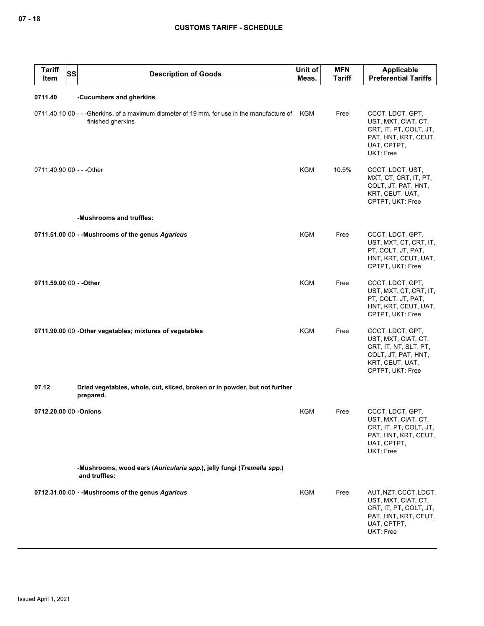| <b>Tariff</b><br>Item     | SS | <b>Description of Goods</b>                                                                                         | Unit of<br>Meas. | <b>MFN</b><br><b>Tariff</b> | Applicable<br><b>Preferential Tariffs</b>                                                                                      |
|---------------------------|----|---------------------------------------------------------------------------------------------------------------------|------------------|-----------------------------|--------------------------------------------------------------------------------------------------------------------------------|
| 0711.40                   |    | -Cucumbers and gherkins                                                                                             |                  |                             |                                                                                                                                |
|                           |    | 0711.40.10 00 - - -Gherkins, of a maximum diameter of 19 mm, for use in the manufacture of KGM<br>finished gherkins |                  | Free                        | CCCT, LDCT, GPT,<br>UST, MXT, CIAT, CT,<br>CRT, IT, PT, COLT, JT,<br>PAT, HNT, KRT, CEUT,<br>UAT, CPTPT,<br>UKT: Free          |
| 0711.40.90 00 - - - Other |    |                                                                                                                     | <b>KGM</b>       | 10.5%                       | CCCT, LDCT, UST,<br>MXT, CT, CRT, IT, PT,<br>COLT, JT, PAT, HNT,<br>KRT, CEUT, UAT,<br>CPTPT, UKT: Free                        |
|                           |    | -Mushrooms and truffles:                                                                                            |                  |                             |                                                                                                                                |
|                           |    | 0711.51.00 00 - - Mushrooms of the genus Agaricus                                                                   | <b>KGM</b>       | Free                        | CCCT, LDCT, GPT,<br>UST, MXT, CT, CRT, IT,<br>PT, COLT, JT, PAT,<br>HNT, KRT, CEUT, UAT,<br>CPTPT, UKT: Free                   |
| 0711.59.00 00 - - Other   |    |                                                                                                                     | <b>KGM</b>       | Free                        | CCCT, LDCT, GPT,<br>UST, MXT, CT, CRT, IT,<br>PT, COLT, JT, PAT,<br>HNT, KRT, CEUT, UAT,<br>CPTPT, UKT: Free                   |
|                           |    | 0711.90.00 00 - Other vegetables; mixtures of vegetables                                                            | <b>KGM</b>       | Free                        | CCCT, LDCT, GPT,<br>UST, MXT, CIAT, CT,<br>CRT, IT, NT, SLT, PT,<br>COLT, JT, PAT, HNT,<br>KRT, CEUT, UAT,<br>CPTPT, UKT: Free |
| 07.12                     |    | Dried vegetables, whole, cut, sliced, broken or in powder, but not further<br>prepared.                             |                  |                             |                                                                                                                                |
| 0712.20.00 00 -Onions     |    |                                                                                                                     | KGM              | Free                        | CCCT, LDCT, GPT,<br>UST, MXT, CIAT, CT,<br>CRT, IT, PT, COLT, JT,<br>PAT, HNT, KRT, CEUT,<br>UAT, CPTPT,<br>UKT: Free          |
|                           |    | -Mushrooms, wood ears (Auricularia spp.), jelly fungi (Tremella spp.)<br>and truffles:                              |                  |                             |                                                                                                                                |
|                           |    | 0712.31.00 00 - - Mushrooms of the genus Agaricus                                                                   | KGM              | Free                        | AUT, NZT, CCCT, LDCT,<br>UST, MXT, CIAT, CT,<br>CRT, IT, PT, COLT, JT,<br>PAT, HNT, KRT, CEUT,<br>UAT, CPTPT,<br>UKT: Free     |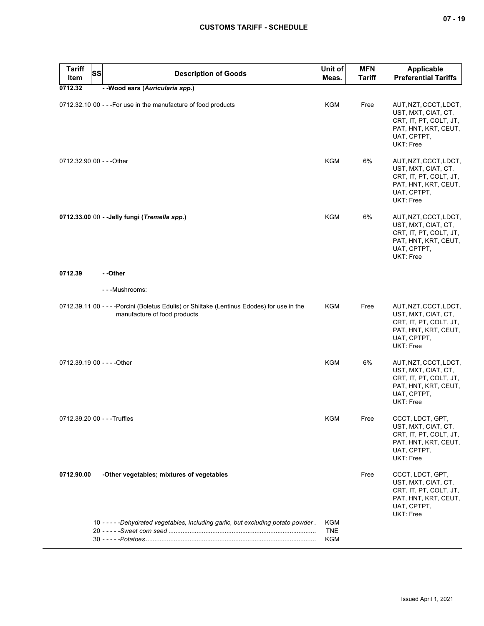| <b>Tariff</b><br><b>SS</b><br>Item | <b>Description of Goods</b>                                                                                                 | Unit of<br>Meas.  | <b>MFN</b><br><b>Tariff</b> | <b>Applicable</b><br><b>Preferential Tariffs</b>                                                                           |
|------------------------------------|-----------------------------------------------------------------------------------------------------------------------------|-------------------|-----------------------------|----------------------------------------------------------------------------------------------------------------------------|
| 0712.32                            | - - Wood ears (Auricularia spp.)                                                                                            |                   |                             |                                                                                                                            |
|                                    | 0712.32.10 00 - - - For use in the manufacture of food products                                                             | <b>KGM</b>        | Free                        | AUT, NZT, CCCT, LDCT,<br>UST, MXT, CIAT, CT,<br>CRT, IT, PT, COLT, JT,<br>PAT, HNT, KRT, CEUT,<br>UAT, CPTPT,<br>UKT: Free |
| 0712.32.90 00 - - - Other          |                                                                                                                             | <b>KGM</b>        | 6%                          | AUT, NZT, CCCT, LDCT,<br>UST, MXT, CIAT, CT,<br>CRT, IT, PT, COLT, JT,<br>PAT, HNT, KRT, CEUT,<br>UAT, CPTPT,<br>UKT: Free |
|                                    | 0712.33.00 00 - - Jelly fungi (Tremella spp.)                                                                               | <b>KGM</b>        | 6%                          | AUT, NZT, CCCT, LDCT,<br>UST, MXT, CIAT, CT,<br>CRT, IT, PT, COLT, JT,<br>PAT, HNT, KRT, CEUT,<br>UAT, CPTPT,<br>UKT: Free |
| 0712.39                            | - -Other                                                                                                                    |                   |                             |                                                                                                                            |
|                                    | - - - Mushrooms:                                                                                                            |                   |                             |                                                                                                                            |
|                                    | 0712.39.11 00 - - - - Porcini (Boletus Edulis) or Shiitake (Lentinus Edodes) for use in the<br>manufacture of food products | KGM               | Free                        | AUT, NZT, CCCT, LDCT,<br>UST, MXT, CIAT, CT,<br>CRT, IT, PT, COLT, JT,<br>PAT, HNT, KRT, CEUT,<br>UAT, CPTPT,<br>UKT: Free |
| 0712.39.19 00 - - - - Other        |                                                                                                                             | <b>KGM</b>        | 6%                          | AUT, NZT, CCCT, LDCT,<br>UST, MXT, CIAT, CT,<br>CRT, IT, PT, COLT, JT,<br>PAT, HNT, KRT, CEUT,<br>UAT, CPTPT,<br>UKT: Free |
| 0712.39.20 00 - - - Truffles       |                                                                                                                             | <b>KGM</b>        | Free                        | CCCT, LDCT, GPT,<br>UST, MXT, CIAT, CT,<br>CRT, IT, PT, COLT, JT,<br>PAT, HNT, KRT, CEUT,<br>UAT, CPTPT,<br>UKT: Free      |
| 0712.90.00                         | -Other vegetables; mixtures of vegetables                                                                                   |                   | Free                        | CCCT, LDCT, GPT,<br>UST, MXT, CIAT, CT,<br>CRT, IT, PT, COLT, JT,<br>PAT, HNT, KRT, CEUT,<br>UAT, CPTPT,<br>UKT: Free      |
|                                    | 10 - - - - - Dehydrated vegetables, including garlic, but excluding potato powder.                                          | KGM<br><b>TNE</b> |                             |                                                                                                                            |
|                                    |                                                                                                                             | <b>KGM</b>        |                             |                                                                                                                            |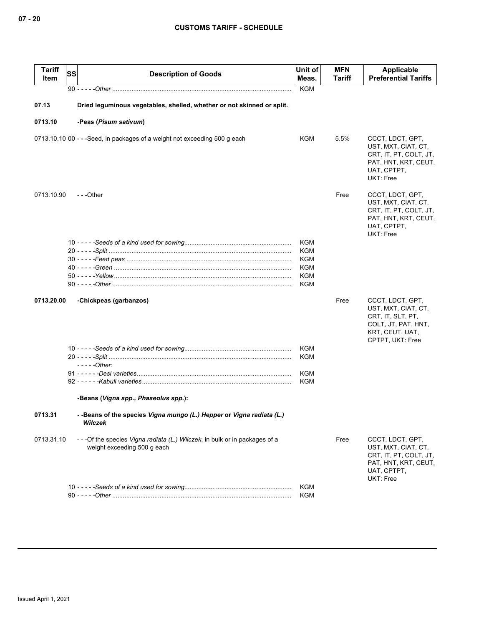| <b>Tariff</b><br>Item | SS<br><b>Description of Goods</b>                                                                           | Unit of<br>Meas.                                                          | <b>MFN</b><br>Tariff | Applicable<br><b>Preferential Tariffs</b>                                                                                  |
|-----------------------|-------------------------------------------------------------------------------------------------------------|---------------------------------------------------------------------------|----------------------|----------------------------------------------------------------------------------------------------------------------------|
|                       |                                                                                                             | <b>KGM</b>                                                                |                      |                                                                                                                            |
| 07.13                 | Dried leguminous vegetables, shelled, whether or not skinned or split.                                      |                                                                           |                      |                                                                                                                            |
| 0713.10               | -Peas (Pisum sativum)                                                                                       |                                                                           |                      |                                                                                                                            |
|                       | 0713.10.10 00 - - - Seed, in packages of a weight not exceeding 500 g each                                  | KGM                                                                       | 5.5%                 | CCCT, LDCT, GPT,<br>UST, MXT, CIAT, CT,<br>CRT, IT, PT, COLT, JT,<br>PAT, HNT, KRT, CEUT,<br>UAT, CPTPT,<br>UKT: Free      |
| 0713.10.90            | $-$ - -Other                                                                                                |                                                                           | Free                 | CCCT, LDCT, GPT,<br>UST, MXT, CIAT, CT,<br>CRT, IT, PT, COLT, JT,<br>PAT, HNT, KRT, CEUT,<br>UAT, CPTPT,<br>UKT: Free      |
|                       |                                                                                                             | <b>KGM</b><br><b>KGM</b><br>KGM<br><b>KGM</b><br><b>KGM</b><br><b>KGM</b> |                      |                                                                                                                            |
| 0713.20.00            | -Chickpeas (garbanzos)                                                                                      |                                                                           | Free                 | CCCT, LDCT, GPT,<br>UST, MXT, CIAT, CT,<br>CRT, IT, SLT, PT,<br>COLT, JT, PAT, HNT,<br>KRT, CEUT, UAT,<br>CPTPT, UKT: Free |
|                       |                                                                                                             | KGM<br><b>KGM</b>                                                         |                      |                                                                                                                            |
|                       | - - - - - Other:                                                                                            | KGM                                                                       |                      |                                                                                                                            |
|                       |                                                                                                             | <b>KGM</b>                                                                |                      |                                                                                                                            |
|                       | -Beans (Vigna spp., Phaseolus spp.):                                                                        |                                                                           |                      |                                                                                                                            |
| 0713.31               | --Beans of the species Vigna mungo (L.) Hepper or Vigna radiata (L.)<br>Wilczek                             |                                                                           |                      |                                                                                                                            |
| 0713.31.10            | - - - Of the species Vigna radiata (L.) Wilczek, in bulk or in packages of a<br>weight exceeding 500 g each |                                                                           | Free                 | CCCT, LDCT, GPT,<br>UST, MXT, CIAT, CT,<br>CRT, IT, PT, COLT, JT,<br>PAT, HNT, KRT, CEUT,<br>UAT, CPTPT,<br>UKT: Free      |
|                       |                                                                                                             | KGM<br>KGM                                                                |                      |                                                                                                                            |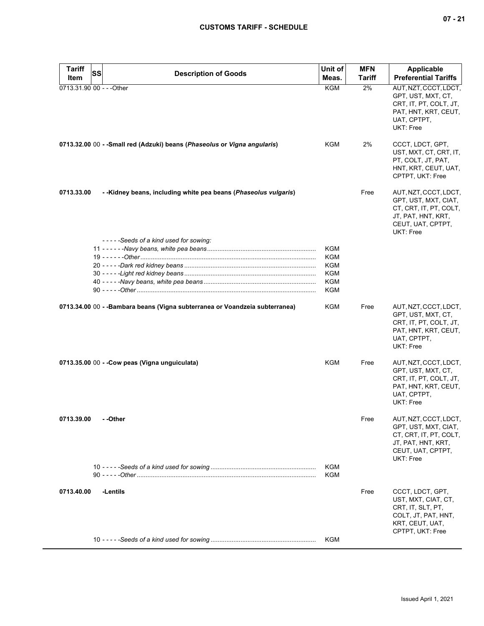| <b>Tariff</b> | SS<br><b>Description of Goods</b>                                            | Unit of                  | <b>MFN</b> | <b>Applicable</b>                                                                                                                |
|---------------|------------------------------------------------------------------------------|--------------------------|------------|----------------------------------------------------------------------------------------------------------------------------------|
| Item          |                                                                              | Meas.                    | Tariff     | <b>Preferential Tariffs</b>                                                                                                      |
|               | 0713.31.90 00 - - - Other                                                    | <b>KGM</b>               | 2%         | AUT, NZT, CCCT, LDCT,<br>GPT, UST, MXT, CT,<br>CRT, IT, PT, COLT, JT,<br>PAT, HNT, KRT, CEUT,<br>UAT, CPTPT,<br><b>UKT: Free</b> |
|               | 0713.32.00 00 - - Small red (Adzuki) beans (Phaseolus or Vigna angularis)    | <b>KGM</b>               | 2%         | CCCT, LDCT, GPT,<br>UST, MXT, CT, CRT, IT,<br>PT, COLT, JT, PAT,<br>HNT, KRT, CEUT, UAT,<br>CPTPT, UKT: Free                     |
| 0713.33.00    | - -Kidney beans, including white pea beans (Phaseolus vulgaris)              |                          | Free       | AUT, NZT, CCCT, LDCT,<br>GPT, UST, MXT, CIAT,<br>CT, CRT, IT, PT, COLT,<br>JT, PAT, HNT, KRT,<br>CEUT, UAT, CPTPT,<br>UKT: Free  |
|               | -----Seeds of a kind used for sowing:                                        |                          |            |                                                                                                                                  |
|               |                                                                              | <b>KGM</b><br><b>KGM</b> |            |                                                                                                                                  |
|               |                                                                              | <b>KGM</b>               |            |                                                                                                                                  |
|               |                                                                              | <b>KGM</b>               |            |                                                                                                                                  |
|               |                                                                              | <b>KGM</b>               |            |                                                                                                                                  |
|               |                                                                              | <b>KGM</b>               |            |                                                                                                                                  |
|               | 0713.34.00 00 - - Bambara beans (Vigna subterranea or Voandzeia subterranea) | <b>KGM</b>               | Free       | AUT, NZT, CCCT, LDCT,<br>GPT, UST, MXT, CT,<br>CRT, IT, PT, COLT, JT,<br>PAT, HNT, KRT, CEUT,<br>UAT, CPTPT,<br>UKT: Free        |
|               | 0713.35.00 00 - - Cow peas (Vigna unguiculata)                               | KGM                      | Free       | AUT, NZT, CCCT, LDCT,<br>GPT, UST, MXT, CT,<br>CRT, IT, PT, COLT, JT,<br>PAT, HNT, KRT, CEUT,<br>UAT, CPTPT,<br>UKT: Free        |
| 0713.39.00    | - -Other                                                                     |                          | Free       | AUT, NZT, CCCT, LDCT,<br>GPT, UST, MXT, CIAT,<br>CT, CRT, IT, PT, COLT,<br>JT, PAT, HNT, KRT,<br>CEUT, UAT, CPTPT,<br>UKT: Free  |
|               |                                                                              | <b>KGM</b><br><b>KGM</b> |            |                                                                                                                                  |
| 0713.40.00    | -Lentils                                                                     |                          | Free       | CCCT, LDCT, GPT,<br>UST, MXT, CIAT, CT,<br>CRT, IT, SLT, PT,<br>COLT, JT, PAT, HNT,<br>KRT, CEUT, UAT,<br>CPTPT, UKT: Free       |
|               |                                                                              | KGM                      |            |                                                                                                                                  |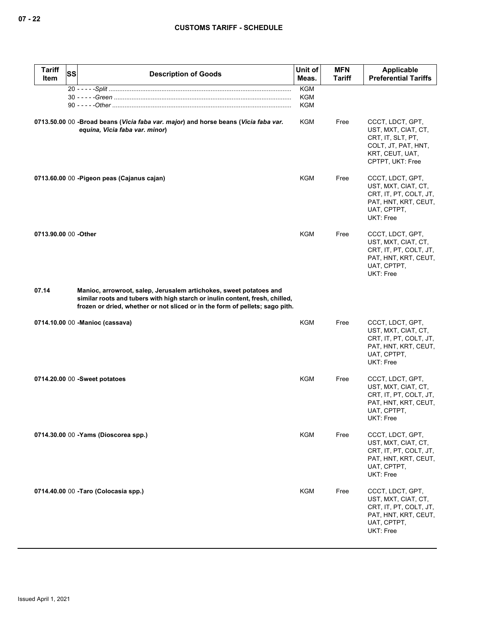| <b>Tariff</b><br>Item | <b>SS</b> | <b>Description of Goods</b>                                                                                                                                                                                                        | Unit of<br>Meas.                       | <b>MFN</b><br><b>Tariff</b> | Applicable<br><b>Preferential Tariffs</b>                                                                                    |
|-----------------------|-----------|------------------------------------------------------------------------------------------------------------------------------------------------------------------------------------------------------------------------------------|----------------------------------------|-----------------------------|------------------------------------------------------------------------------------------------------------------------------|
|                       |           |                                                                                                                                                                                                                                    | <b>KGM</b><br><b>KGM</b><br><b>KGM</b> |                             |                                                                                                                              |
|                       |           | 0713.50.00 00 -Broad beans (Vicia faba var. major) and horse beans (Vicia faba var.<br>equina, Vicia faba var. minor)                                                                                                              | KGM                                    | Free                        | CCCT, LDCT, GPT,<br>UST, MXT, CIAT, CT,<br>CRT, IT, SLT, PT,<br>COLT, JT, PAT, HNT,<br>KRT, CEUT, UAT,<br>CPTPT, UKT: Free   |
|                       |           | 0713.60.00 00 - Pigeon peas (Cajanus cajan)                                                                                                                                                                                        | KGM                                    | Free                        | CCCT, LDCT, GPT,<br>UST, MXT, CIAT, CT,<br>CRT, IT, PT, COLT, JT,<br>PAT, HNT, KRT, CEUT,<br>UAT, CPTPT,<br>UKT: Free        |
| 0713.90.00 00 -Other  |           |                                                                                                                                                                                                                                    | <b>KGM</b>                             | Free                        | CCCT, LDCT, GPT,<br>UST, MXT, CIAT, CT,<br>CRT, IT, PT, COLT, JT,<br>PAT, HNT, KRT, CEUT,<br>UAT, CPTPT,<br><b>UKT: Free</b> |
| 07.14                 |           | Manioc, arrowroot, salep, Jerusalem artichokes, sweet potatoes and<br>similar roots and tubers with high starch or inulin content, fresh, chilled,<br>frozen or dried, whether or not sliced or in the form of pellets; sago pith. |                                        |                             |                                                                                                                              |
|                       |           | 0714.10.00 00 - Manioc (cassava)                                                                                                                                                                                                   | KGM                                    | Free                        | CCCT, LDCT, GPT,<br>UST, MXT, CIAT, CT,<br>CRT, IT, PT, COLT, JT,<br>PAT, HNT, KRT, CEUT,<br>UAT, CPTPT,<br>UKT: Free        |
|                       |           | 0714.20.00 00 -Sweet potatoes                                                                                                                                                                                                      | <b>KGM</b>                             | Free                        | CCCT, LDCT, GPT,<br>UST, MXT, CIAT, CT,<br>CRT, IT, PT, COLT, JT,<br>PAT, HNT, KRT, CEUT,<br>UAT, CPTPT,<br>UKT: Free        |
|                       |           | 0714.30.00 00 -Yams (Dioscorea spp.)                                                                                                                                                                                               | KGM                                    | Free                        | CCCT, LDCT, GPT,<br>UST, MXT, CIAT, CT,<br>CRT, IT, PT, COLT, JT,<br>PAT, HNT, KRT, CEUT,<br>UAT, CPTPT,<br>UKT: Free        |
|                       |           | 0714.40.00 00 - Taro (Colocasia spp.)                                                                                                                                                                                              | KGM                                    | Free                        | CCCT, LDCT, GPT,<br>UST, MXT, CIAT, CT,<br>CRT, IT, PT, COLT, JT,<br>PAT, HNT, KRT, CEUT,<br>UAT, CPTPT,<br>UKT: Free        |